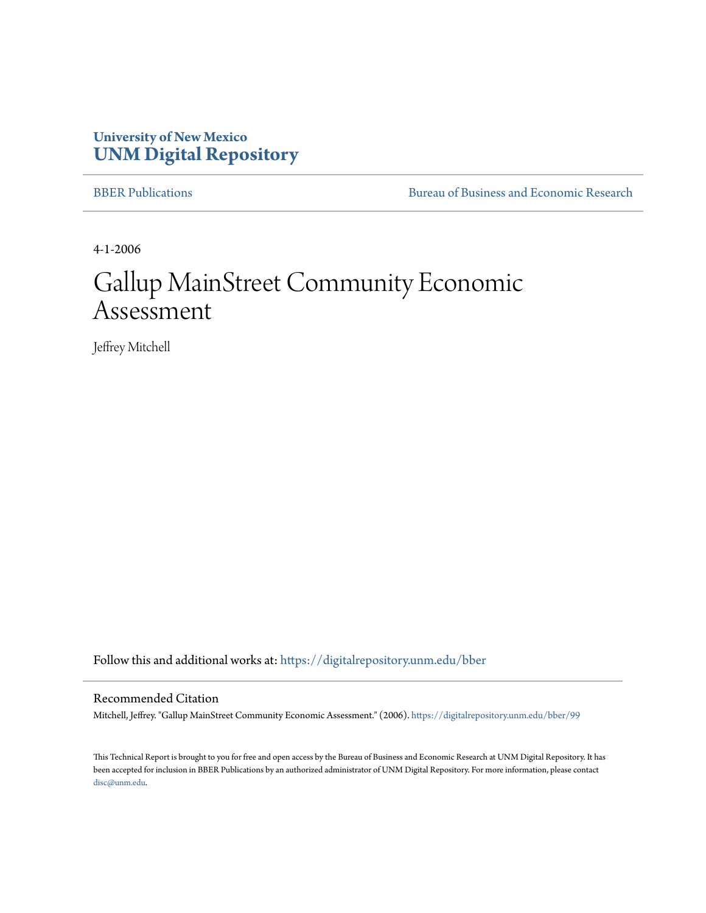## **University of New Mexico [UNM Digital Repository](https://digitalrepository.unm.edu?utm_source=digitalrepository.unm.edu%2Fbber%2F99&utm_medium=PDF&utm_campaign=PDFCoverPages)**

[BBER Publications](https://digitalrepository.unm.edu/bber?utm_source=digitalrepository.unm.edu%2Fbber%2F99&utm_medium=PDF&utm_campaign=PDFCoverPages) **BUREA** [Bureau of Business and Economic Research](https://digitalrepository.unm.edu/business_economic_research?utm_source=digitalrepository.unm.edu%2Fbber%2F99&utm_medium=PDF&utm_campaign=PDFCoverPages)

4-1-2006

# Gallup MainStreet Community Economic Assessment

Jeffrey Mitchell

Follow this and additional works at: [https://digitalrepository.unm.edu/bber](https://digitalrepository.unm.edu/bber?utm_source=digitalrepository.unm.edu%2Fbber%2F99&utm_medium=PDF&utm_campaign=PDFCoverPages)

#### Recommended Citation

Mitchell, Jeffrey. "Gallup MainStreet Community Economic Assessment." (2006). [https://digitalrepository.unm.edu/bber/99](https://digitalrepository.unm.edu/bber/99?utm_source=digitalrepository.unm.edu%2Fbber%2F99&utm_medium=PDF&utm_campaign=PDFCoverPages)

This Technical Report is brought to you for free and open access by the Bureau of Business and Economic Research at UNM Digital Repository. It has been accepted for inclusion in BBER Publications by an authorized administrator of UNM Digital Repository. For more information, please contact [disc@unm.edu](mailto:disc@unm.edu).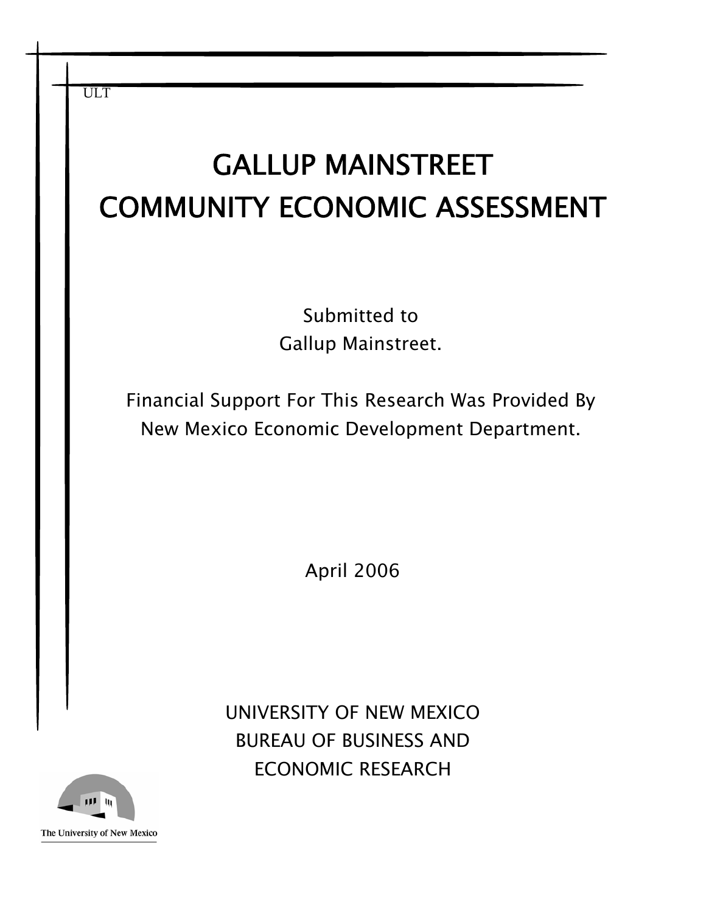| <b>ULT</b><br><b>GALLUP MAINSTREET</b>                                                             |
|----------------------------------------------------------------------------------------------------|
| <b>COMMUNITY ECONOMIC ASSESSMENT</b>                                                               |
|                                                                                                    |
| Submitted to                                                                                       |
| Gallup Mainstreet.                                                                                 |
| Financial Support For This Research Was Provided By<br>New Mexico Economic Development Department. |
|                                                                                                    |
|                                                                                                    |
| April 2006                                                                                         |
|                                                                                                    |
|                                                                                                    |
| UNIVERSITY OF NEW MEXICO                                                                           |
| <b>BUREAU OF BUSINESS AND</b>                                                                      |
| <b>ECONOMIC RESEARCH</b>                                                                           |

The University of New Mexico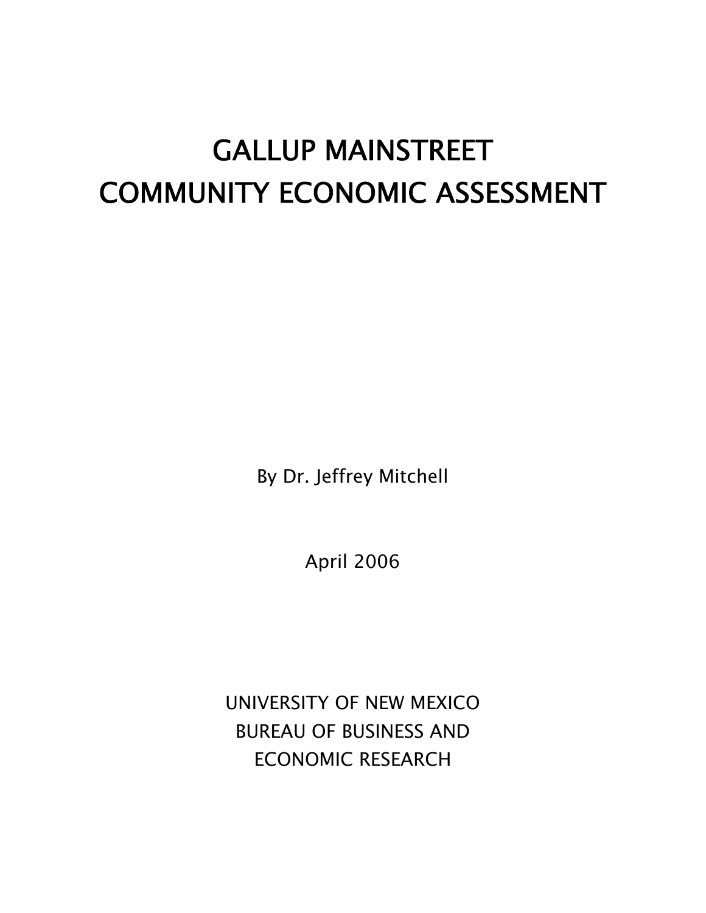# GALLUP MAINSTREET COMMUNITY ECONOMIC ASSESSMENT

By Dr. Jeffrey Mitchell

April 2006

UNIVERSITY OF NEW MEXICO BUREAU OF BUSINESS AND ECONOMIC RESEARCH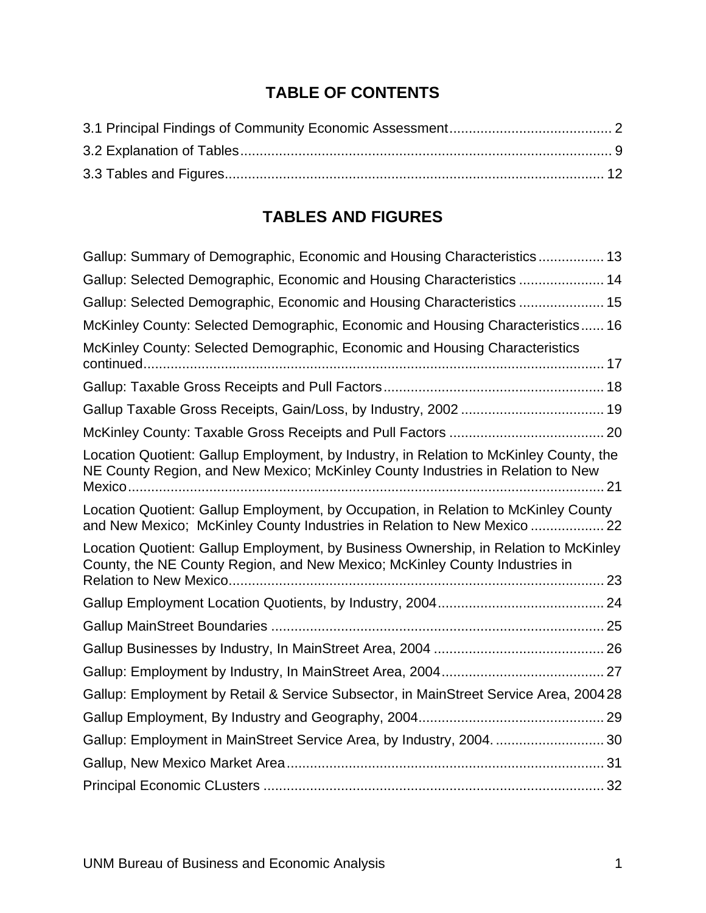## **TABLE OF CONTENTS**

## **TABLES AND FIGURES**

| Gallup: Summary of Demographic, Economic and Housing Characteristics 13                                                                                                   |
|---------------------------------------------------------------------------------------------------------------------------------------------------------------------------|
| Gallup: Selected Demographic, Economic and Housing Characteristics  14                                                                                                    |
| Gallup: Selected Demographic, Economic and Housing Characteristics  15                                                                                                    |
| McKinley County: Selected Demographic, Economic and Housing Characteristics 16                                                                                            |
| McKinley County: Selected Demographic, Economic and Housing Characteristics                                                                                               |
|                                                                                                                                                                           |
|                                                                                                                                                                           |
|                                                                                                                                                                           |
| Location Quotient: Gallup Employment, by Industry, in Relation to McKinley County, the<br>NE County Region, and New Mexico; McKinley County Industries in Relation to New |
| Location Quotient: Gallup Employment, by Occupation, in Relation to McKinley County<br>and New Mexico; McKinley County Industries in Relation to New Mexico  22           |
| Location Quotient: Gallup Employment, by Business Ownership, in Relation to McKinley<br>County, the NE County Region, and New Mexico; McKinley County Industries in       |
|                                                                                                                                                                           |
|                                                                                                                                                                           |
|                                                                                                                                                                           |
|                                                                                                                                                                           |
| Gallup: Employment by Retail & Service Subsector, in MainStreet Service Area, 200428                                                                                      |
|                                                                                                                                                                           |
| Gallup: Employment in MainStreet Service Area, by Industry, 2004.  30                                                                                                     |
|                                                                                                                                                                           |
|                                                                                                                                                                           |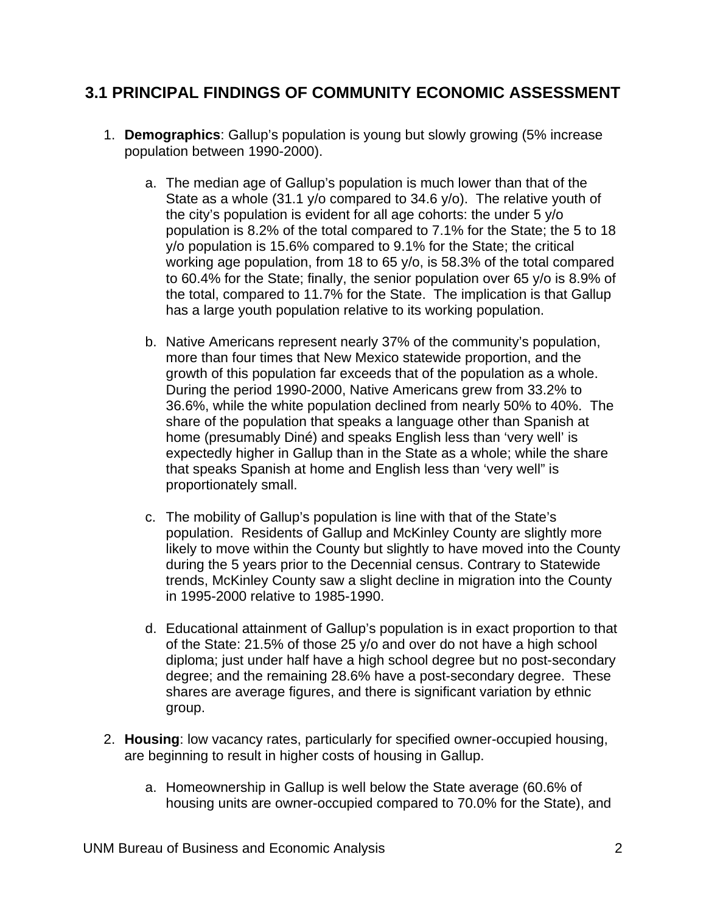#### <span id="page-4-0"></span>**3.1 PRINCIPAL FINDINGS OF COMMUNITY ECONOMIC ASSESSMENT**

- 1. **Demographics**: Gallup's population is young but slowly growing (5% increase population between 1990-2000).
	- a. The median age of Gallup's population is much lower than that of the State as a whole (31.1 y/o compared to 34.6 y/o). The relative youth of the city's population is evident for all age cohorts: the under 5 y/o population is 8.2% of the total compared to 7.1% for the State; the 5 to 18 y/o population is 15.6% compared to 9.1% for the State; the critical working age population, from 18 to 65 y/o, is 58.3% of the total compared to 60.4% for the State; finally, the senior population over 65 y/o is 8.9% of the total, compared to 11.7% for the State. The implication is that Gallup has a large youth population relative to its working population.
	- b. Native Americans represent nearly 37% of the community's population, more than four times that New Mexico statewide proportion, and the growth of this population far exceeds that of the population as a whole. During the period 1990-2000, Native Americans grew from 33.2% to 36.6%, while the white population declined from nearly 50% to 40%. The share of the population that speaks a language other than Spanish at home (presumably Diné) and speaks English less than 'very well' is expectedly higher in Gallup than in the State as a whole; while the share that speaks Spanish at home and English less than 'very well" is proportionately small.
	- c. The mobility of Gallup's population is line with that of the State's population. Residents of Gallup and McKinley County are slightly more likely to move within the County but slightly to have moved into the County during the 5 years prior to the Decennial census. Contrary to Statewide trends, McKinley County saw a slight decline in migration into the County in 1995-2000 relative to 1985-1990.
	- d. Educational attainment of Gallup's population is in exact proportion to that of the State: 21.5% of those 25 y/o and over do not have a high school diploma; just under half have a high school degree but no post-secondary degree; and the remaining 28.6% have a post-secondary degree. These shares are average figures, and there is significant variation by ethnic group.
- 2. **Housing**: low vacancy rates, particularly for specified owner-occupied housing, are beginning to result in higher costs of housing in Gallup.
	- a. Homeownership in Gallup is well below the State average (60.6% of housing units are owner-occupied compared to 70.0% for the State), and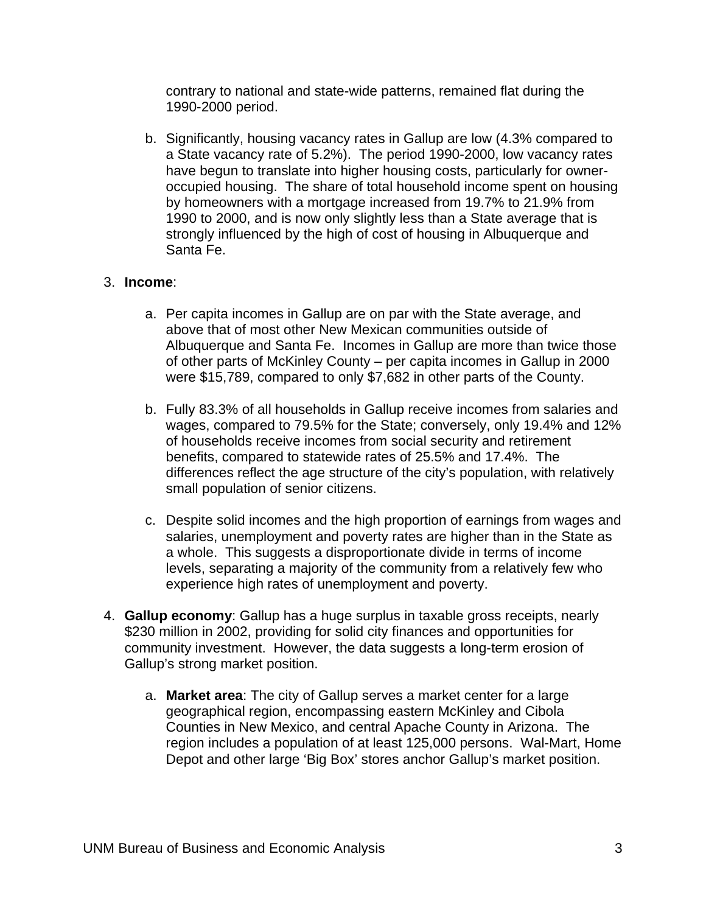contrary to national and state-wide patterns, remained flat during the 1990-2000 period.

b. Significantly, housing vacancy rates in Gallup are low (4.3% compared to a State vacancy rate of 5.2%). The period 1990-2000, low vacancy rates have begun to translate into higher housing costs, particularly for owneroccupied housing. The share of total household income spent on housing by homeowners with a mortgage increased from 19.7% to 21.9% from 1990 to 2000, and is now only slightly less than a State average that is strongly influenced by the high of cost of housing in Albuquerque and Santa Fe.

#### 3. **Income**:

- a. Per capita incomes in Gallup are on par with the State average, and above that of most other New Mexican communities outside of Albuquerque and Santa Fe. Incomes in Gallup are more than twice those of other parts of McKinley County – per capita incomes in Gallup in 2000 were \$15,789, compared to only \$7,682 in other parts of the County.
- b. Fully 83.3% of all households in Gallup receive incomes from salaries and wages, compared to 79.5% for the State; conversely, only 19.4% and 12% of households receive incomes from social security and retirement benefits, compared to statewide rates of 25.5% and 17.4%. The differences reflect the age structure of the city's population, with relatively small population of senior citizens.
- c. Despite solid incomes and the high proportion of earnings from wages and salaries, unemployment and poverty rates are higher than in the State as a whole. This suggests a disproportionate divide in terms of income levels, separating a majority of the community from a relatively few who experience high rates of unemployment and poverty.
- 4. **Gallup economy**: Gallup has a huge surplus in taxable gross receipts, nearly \$230 million in 2002, providing for solid city finances and opportunities for community investment. However, the data suggests a long-term erosion of Gallup's strong market position.
	- a. **Market area**: The city of Gallup serves a market center for a large geographical region, encompassing eastern McKinley and Cibola Counties in New Mexico, and central Apache County in Arizona. The region includes a population of at least 125,000 persons. Wal-Mart, Home Depot and other large 'Big Box' stores anchor Gallup's market position.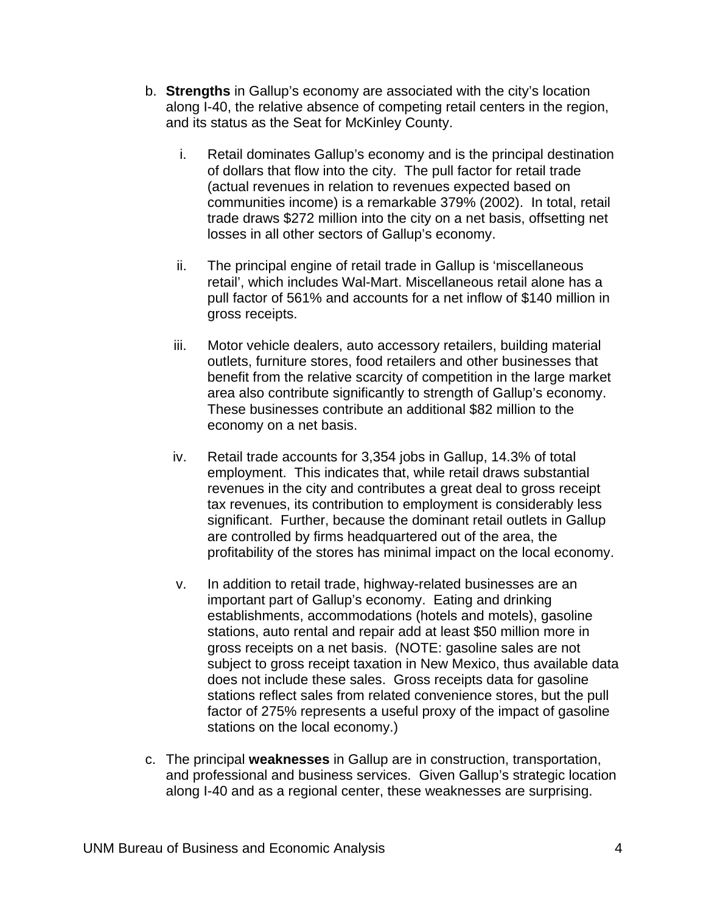- b. **Strengths** in Gallup's economy are associated with the city's location along I-40, the relative absence of competing retail centers in the region, and its status as the Seat for McKinley County.
	- i. Retail dominates Gallup's economy and is the principal destination of dollars that flow into the city. The pull factor for retail trade (actual revenues in relation to revenues expected based on communities income) is a remarkable 379% (2002). In total, retail trade draws \$272 million into the city on a net basis, offsetting net losses in all other sectors of Gallup's economy.
	- ii. The principal engine of retail trade in Gallup is 'miscellaneous retail', which includes Wal-Mart. Miscellaneous retail alone has a pull factor of 561% and accounts for a net inflow of \$140 million in gross receipts.
	- iii. Motor vehicle dealers, auto accessory retailers, building material outlets, furniture stores, food retailers and other businesses that benefit from the relative scarcity of competition in the large market area also contribute significantly to strength of Gallup's economy. These businesses contribute an additional \$82 million to the economy on a net basis.
	- iv. Retail trade accounts for 3,354 jobs in Gallup, 14.3% of total employment. This indicates that, while retail draws substantial revenues in the city and contributes a great deal to gross receipt tax revenues, its contribution to employment is considerably less significant. Further, because the dominant retail outlets in Gallup are controlled by firms headquartered out of the area, the profitability of the stores has minimal impact on the local economy.
	- v. In addition to retail trade, highway-related businesses are an important part of Gallup's economy. Eating and drinking establishments, accommodations (hotels and motels), gasoline stations, auto rental and repair add at least \$50 million more in gross receipts on a net basis. (NOTE: gasoline sales are not subject to gross receipt taxation in New Mexico, thus available data does not include these sales. Gross receipts data for gasoline stations reflect sales from related convenience stores, but the pull factor of 275% represents a useful proxy of the impact of gasoline stations on the local economy.)
- c. The principal **weaknesses** in Gallup are in construction, transportation, and professional and business services. Given Gallup's strategic location along I-40 and as a regional center, these weaknesses are surprising.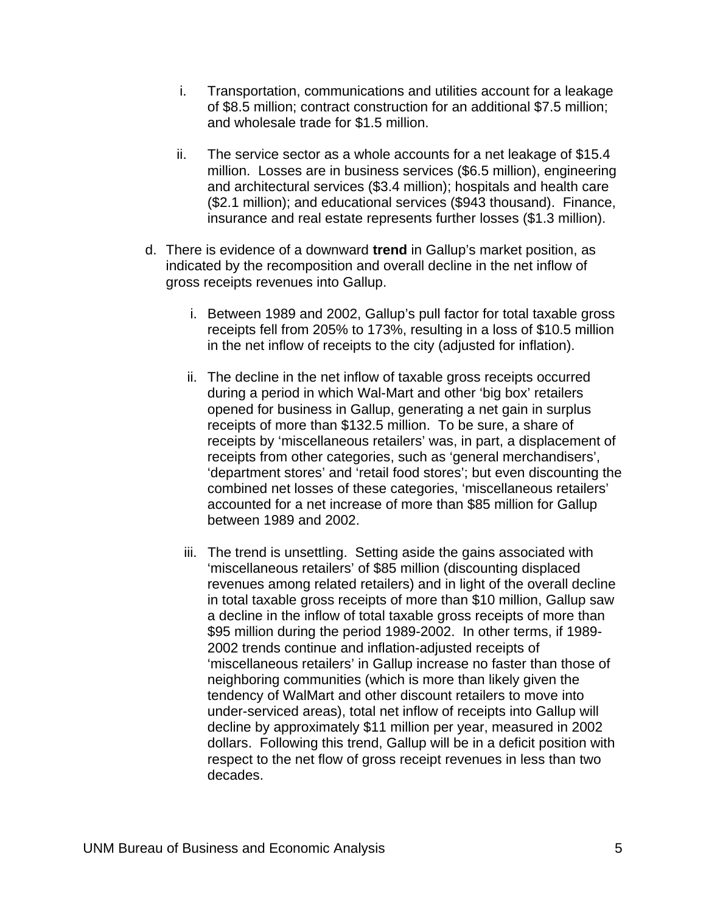- i. Transportation, communications and utilities account for a leakage of \$8.5 million; contract construction for an additional \$7.5 million; and wholesale trade for \$1.5 million.
- ii. The service sector as a whole accounts for a net leakage of \$15.4 million. Losses are in business services (\$6.5 million), engineering and architectural services (\$3.4 million); hospitals and health care (\$2.1 million); and educational services (\$943 thousand). Finance, insurance and real estate represents further losses (\$1.3 million).
- d. There is evidence of a downward **trend** in Gallup's market position, as indicated by the recomposition and overall decline in the net inflow of gross receipts revenues into Gallup.
	- i. Between 1989 and 2002, Gallup's pull factor for total taxable gross receipts fell from 205% to 173%, resulting in a loss of \$10.5 million in the net inflow of receipts to the city (adjusted for inflation).
	- ii. The decline in the net inflow of taxable gross receipts occurred during a period in which Wal-Mart and other 'big box' retailers opened for business in Gallup, generating a net gain in surplus receipts of more than \$132.5 million. To be sure, a share of receipts by 'miscellaneous retailers' was, in part, a displacement of receipts from other categories, such as 'general merchandisers', 'department stores' and 'retail food stores'; but even discounting the combined net losses of these categories, 'miscellaneous retailers' accounted for a net increase of more than \$85 million for Gallup between 1989 and 2002.
	- iii. The trend is unsettling. Setting aside the gains associated with 'miscellaneous retailers' of \$85 million (discounting displaced revenues among related retailers) and in light of the overall decline in total taxable gross receipts of more than \$10 million, Gallup saw a decline in the inflow of total taxable gross receipts of more than \$95 million during the period 1989-2002. In other terms, if 1989- 2002 trends continue and inflation-adjusted receipts of 'miscellaneous retailers' in Gallup increase no faster than those of neighboring communities (which is more than likely given the tendency of WalMart and other discount retailers to move into under-serviced areas), total net inflow of receipts into Gallup will decline by approximately \$11 million per year, measured in 2002 dollars. Following this trend, Gallup will be in a deficit position with respect to the net flow of gross receipt revenues in less than two decades.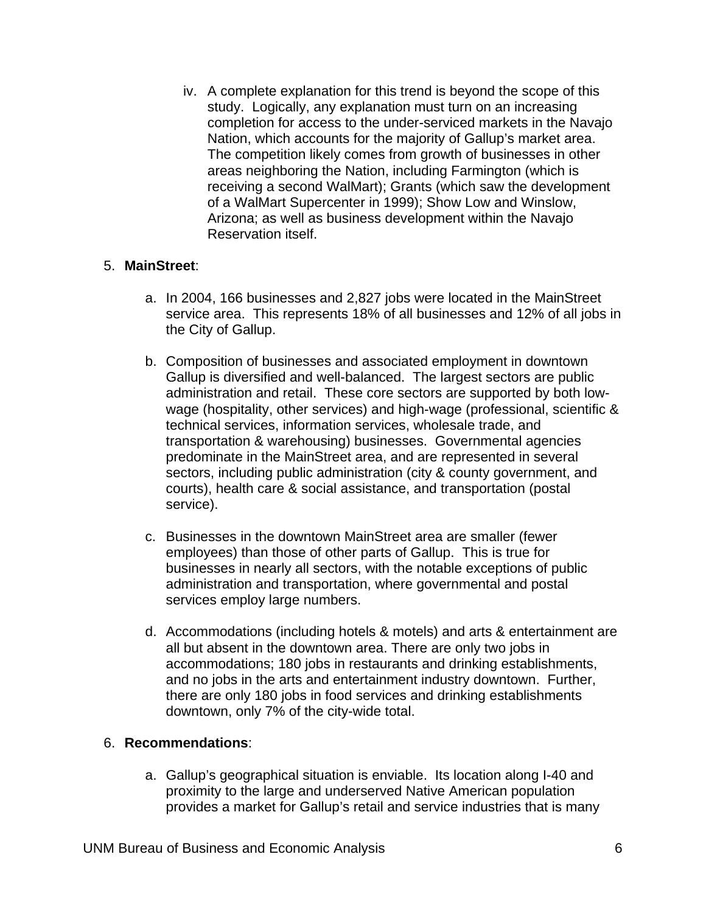iv. A complete explanation for this trend is beyond the scope of this study. Logically, any explanation must turn on an increasing completion for access to the under-serviced markets in the Navajo Nation, which accounts for the majority of Gallup's market area. The competition likely comes from growth of businesses in other areas neighboring the Nation, including Farmington (which is receiving a second WalMart); Grants (which saw the development of a WalMart Supercenter in 1999); Show Low and Winslow, Arizona; as well as business development within the Navajo Reservation itself.

#### 5. **MainStreet**:

- a. In 2004, 166 businesses and 2,827 jobs were located in the MainStreet service area. This represents 18% of all businesses and 12% of all jobs in the City of Gallup.
- b. Composition of businesses and associated employment in downtown Gallup is diversified and well-balanced. The largest sectors are public administration and retail. These core sectors are supported by both lowwage (hospitality, other services) and high-wage (professional, scientific & technical services, information services, wholesale trade, and transportation & warehousing) businesses. Governmental agencies predominate in the MainStreet area, and are represented in several sectors, including public administration (city & county government, and courts), health care & social assistance, and transportation (postal service).
- c. Businesses in the downtown MainStreet area are smaller (fewer employees) than those of other parts of Gallup. This is true for businesses in nearly all sectors, with the notable exceptions of public administration and transportation, where governmental and postal services employ large numbers.
- d. Accommodations (including hotels & motels) and arts & entertainment are all but absent in the downtown area. There are only two jobs in accommodations; 180 jobs in restaurants and drinking establishments, and no jobs in the arts and entertainment industry downtown. Further, there are only 180 jobs in food services and drinking establishments downtown, only 7% of the city-wide total.

#### 6. **Recommendations**:

a. Gallup's geographical situation is enviable. Its location along I-40 and proximity to the large and underserved Native American population provides a market for Gallup's retail and service industries that is many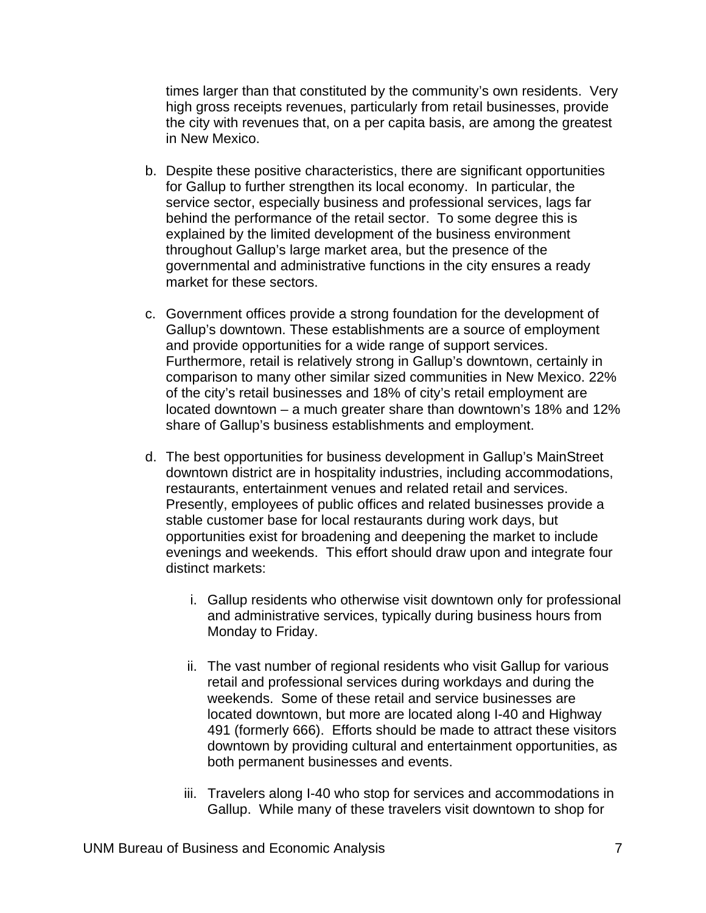times larger than that constituted by the community's own residents. Very high gross receipts revenues, particularly from retail businesses, provide the city with revenues that, on a per capita basis, are among the greatest in New Mexico.

- b. Despite these positive characteristics, there are significant opportunities for Gallup to further strengthen its local economy. In particular, the service sector, especially business and professional services, lags far behind the performance of the retail sector. To some degree this is explained by the limited development of the business environment throughout Gallup's large market area, but the presence of the governmental and administrative functions in the city ensures a ready market for these sectors.
- c. Government offices provide a strong foundation for the development of Gallup's downtown. These establishments are a source of employment and provide opportunities for a wide range of support services. Furthermore, retail is relatively strong in Gallup's downtown, certainly in comparison to many other similar sized communities in New Mexico. 22% of the city's retail businesses and 18% of city's retail employment are located downtown – a much greater share than downtown's 18% and 12% share of Gallup's business establishments and employment.
- d. The best opportunities for business development in Gallup's MainStreet downtown district are in hospitality industries, including accommodations, restaurants, entertainment venues and related retail and services. Presently, employees of public offices and related businesses provide a stable customer base for local restaurants during work days, but opportunities exist for broadening and deepening the market to include evenings and weekends. This effort should draw upon and integrate four distinct markets:
	- i. Gallup residents who otherwise visit downtown only for professional and administrative services, typically during business hours from Monday to Friday.
	- ii. The vast number of regional residents who visit Gallup for various retail and professional services during workdays and during the weekends. Some of these retail and service businesses are located downtown, but more are located along I-40 and Highway 491 (formerly 666). Efforts should be made to attract these visitors downtown by providing cultural and entertainment opportunities, as both permanent businesses and events.
	- iii. Travelers along I-40 who stop for services and accommodations in Gallup. While many of these travelers visit downtown to shop for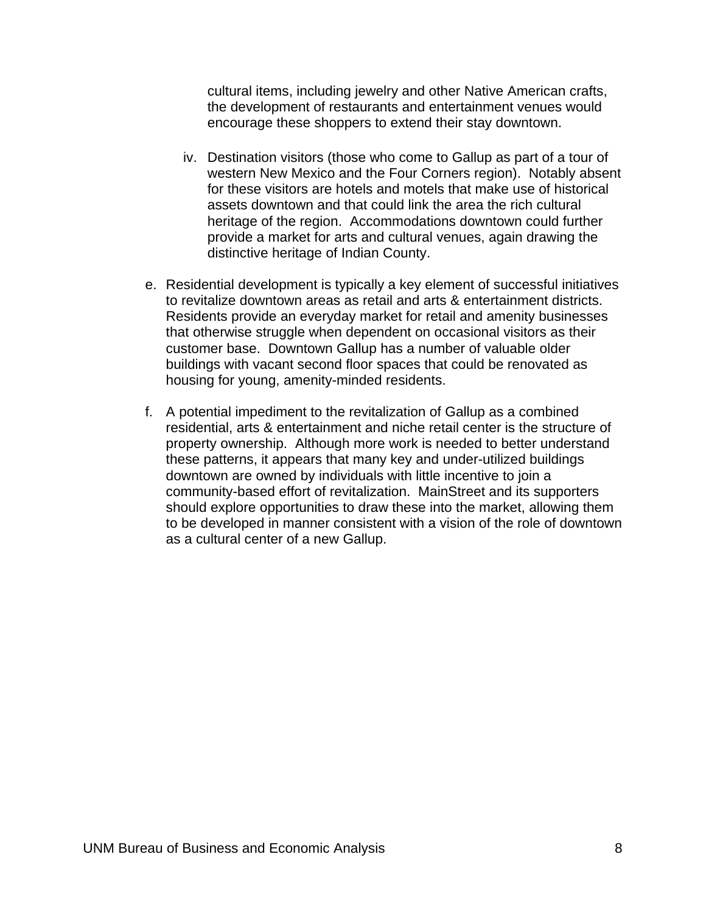cultural items, including jewelry and other Native American crafts, the development of restaurants and entertainment venues would encourage these shoppers to extend their stay downtown.

- iv. Destination visitors (those who come to Gallup as part of a tour of western New Mexico and the Four Corners region). Notably absent for these visitors are hotels and motels that make use of historical assets downtown and that could link the area the rich cultural heritage of the region. Accommodations downtown could further provide a market for arts and cultural venues, again drawing the distinctive heritage of Indian County.
- e. Residential development is typically a key element of successful initiatives to revitalize downtown areas as retail and arts & entertainment districts. Residents provide an everyday market for retail and amenity businesses that otherwise struggle when dependent on occasional visitors as their customer base. Downtown Gallup has a number of valuable older buildings with vacant second floor spaces that could be renovated as housing for young, amenity-minded residents.
- f. A potential impediment to the revitalization of Gallup as a combined residential, arts & entertainment and niche retail center is the structure of property ownership. Although more work is needed to better understand these patterns, it appears that many key and under-utilized buildings downtown are owned by individuals with little incentive to join a community-based effort of revitalization. MainStreet and its supporters should explore opportunities to draw these into the market, allowing them to be developed in manner consistent with a vision of the role of downtown as a cultural center of a new Gallup.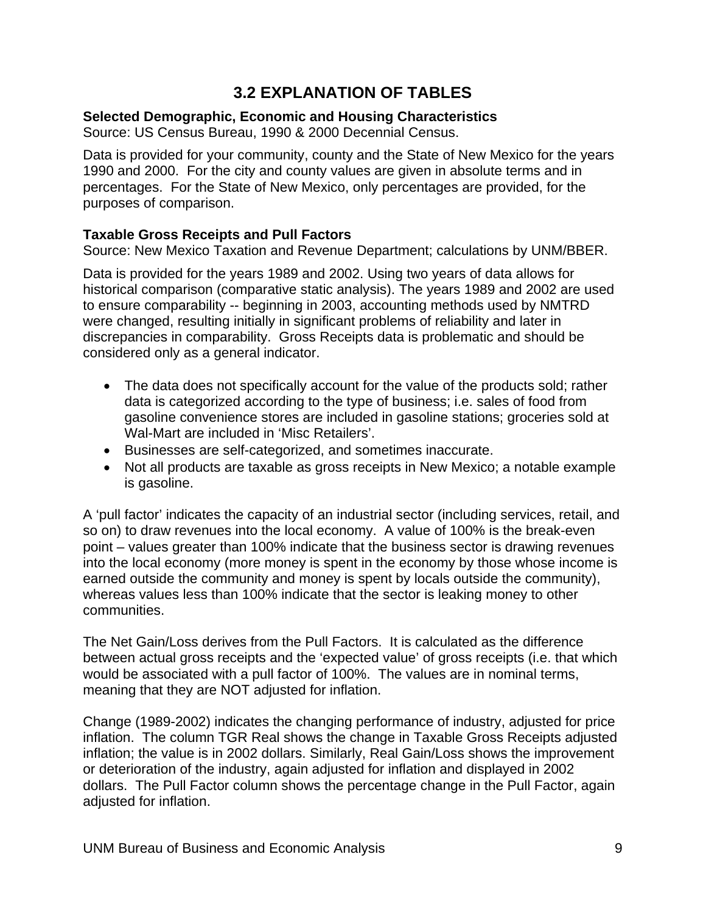## **3.2 EXPLANATION OF TABLES**

#### <span id="page-11-0"></span>**Selected Demographic, Economic and Housing Characteristics**

Source: US Census Bureau, 1990 & 2000 Decennial Census.

Data is provided for your community, county and the State of New Mexico for the years 1990 and 2000. For the city and county values are given in absolute terms and in percentages. For the State of New Mexico, only percentages are provided, for the purposes of comparison.

#### **Taxable Gross Receipts and Pull Factors**

Source: New Mexico Taxation and Revenue Department; calculations by UNM/BBER.

Data is provided for the years 1989 and 2002. Using two years of data allows for historical comparison (comparative static analysis). The years 1989 and 2002 are used to ensure comparability -- beginning in 2003, accounting methods used by NMTRD were changed, resulting initially in significant problems of reliability and later in discrepancies in comparability. Gross Receipts data is problematic and should be considered only as a general indicator.

- The data does not specifically account for the value of the products sold; rather data is categorized according to the type of business; i.e. sales of food from gasoline convenience stores are included in gasoline stations; groceries sold at Wal-Mart are included in 'Misc Retailers'.
- Businesses are self-categorized, and sometimes inaccurate.
- Not all products are taxable as gross receipts in New Mexico; a notable example is gasoline.

A 'pull factor' indicates the capacity of an industrial sector (including services, retail, and so on) to draw revenues into the local economy. A value of 100% is the break-even point – values greater than 100% indicate that the business sector is drawing revenues into the local economy (more money is spent in the economy by those whose income is earned outside the community and money is spent by locals outside the community), whereas values less than 100% indicate that the sector is leaking money to other communities.

The Net Gain/Loss derives from the Pull Factors. It is calculated as the difference between actual gross receipts and the 'expected value' of gross receipts (i.e. that which would be associated with a pull factor of 100%. The values are in nominal terms, meaning that they are NOT adjusted for inflation.

Change (1989-2002) indicates the changing performance of industry, adjusted for price inflation. The column TGR Real shows the change in Taxable Gross Receipts adjusted inflation; the value is in 2002 dollars. Similarly, Real Gain/Loss shows the improvement or deterioration of the industry, again adjusted for inflation and displayed in 2002 dollars. The Pull Factor column shows the percentage change in the Pull Factor, again adjusted for inflation.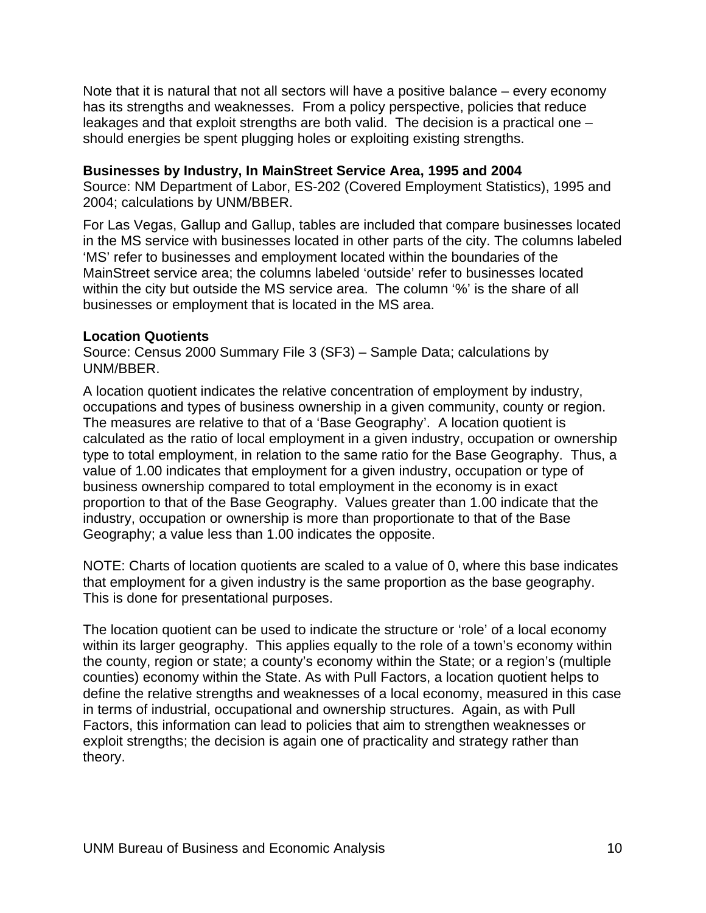Note that it is natural that not all sectors will have a positive balance – every economy has its strengths and weaknesses. From a policy perspective, policies that reduce leakages and that exploit strengths are both valid. The decision is a practical one – should energies be spent plugging holes or exploiting existing strengths.

#### **Businesses by Industry, In MainStreet Service Area, 1995 and 2004**

Source: NM Department of Labor, ES-202 (Covered Employment Statistics), 1995 and 2004; calculations by UNM/BBER.

For Las Vegas, Gallup and Gallup, tables are included that compare businesses located in the MS service with businesses located in other parts of the city. The columns labeled 'MS' refer to businesses and employment located within the boundaries of the MainStreet service area; the columns labeled 'outside' refer to businesses located within the city but outside the MS service area. The column '%' is the share of all businesses or employment that is located in the MS area.

#### **Location Quotients**

Source: Census 2000 Summary File 3 (SF3) – Sample Data; calculations by UNM/BBER.

A location quotient indicates the relative concentration of employment by industry, occupations and types of business ownership in a given community, county or region. The measures are relative to that of a 'Base Geography'. A location quotient is calculated as the ratio of local employment in a given industry, occupation or ownership type to total employment, in relation to the same ratio for the Base Geography. Thus, a value of 1.00 indicates that employment for a given industry, occupation or type of business ownership compared to total employment in the economy is in exact proportion to that of the Base Geography. Values greater than 1.00 indicate that the industry, occupation or ownership is more than proportionate to that of the Base Geography; a value less than 1.00 indicates the opposite.

NOTE: Charts of location quotients are scaled to a value of 0, where this base indicates that employment for a given industry is the same proportion as the base geography. This is done for presentational purposes.

The location quotient can be used to indicate the structure or 'role' of a local economy within its larger geography. This applies equally to the role of a town's economy within the county, region or state; a county's economy within the State; or a region's (multiple counties) economy within the State. As with Pull Factors, a location quotient helps to define the relative strengths and weaknesses of a local economy, measured in this case in terms of industrial, occupational and ownership structures. Again, as with Pull Factors, this information can lead to policies that aim to strengthen weaknesses or exploit strengths; the decision is again one of practicality and strategy rather than theory.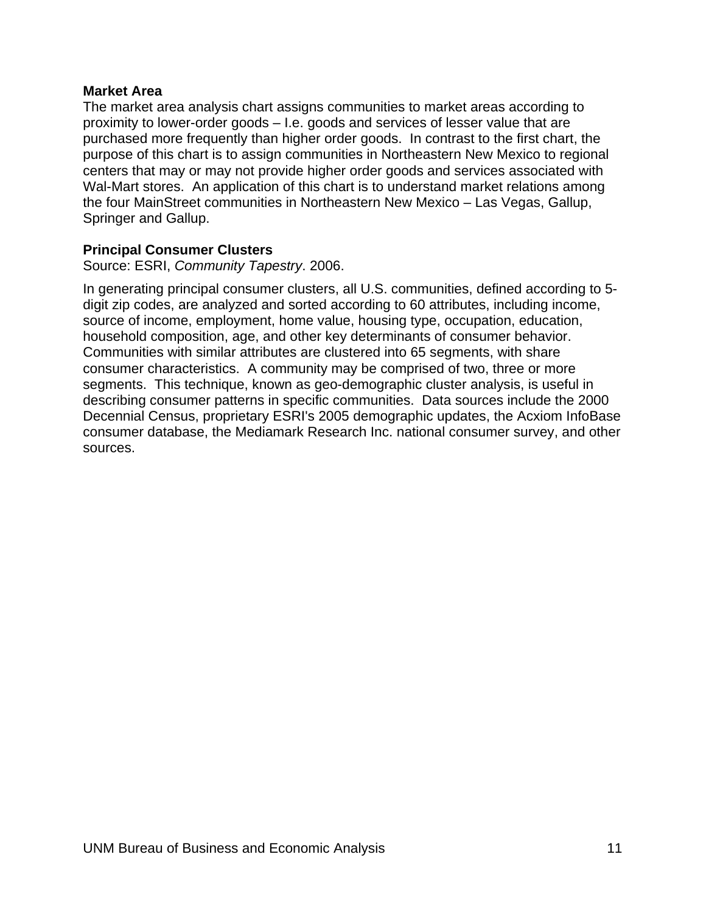#### **Market Area**

The market area analysis chart assigns communities to market areas according to proximity to lower-order goods – I.e. goods and services of lesser value that are purchased more frequently than higher order goods. In contrast to the first chart, the purpose of this chart is to assign communities in Northeastern New Mexico to regional centers that may or may not provide higher order goods and services associated with Wal-Mart stores. An application of this chart is to understand market relations among the four MainStreet communities in Northeastern New Mexico – Las Vegas, Gallup, Springer and Gallup.

#### **Principal Consumer Clusters**

Source: ESRI, *Community Tapestry*. 2006.

In generating principal consumer clusters, all U.S. communities, defined according to 5 digit zip codes, are analyzed and sorted according to 60 attributes, including income, source of income, employment, home value, housing type, occupation, education, household composition, age, and other key determinants of consumer behavior. Communities with similar attributes are clustered into 65 segments, with share consumer characteristics. A community may be comprised of two, three or more segments. This technique, known as geo-demographic cluster analysis, is useful in describing consumer patterns in specific communities. Data sources include the 2000 Decennial Census, proprietary ESRI's 2005 demographic updates, the Acxiom InfoBase consumer database, the Mediamark Research Inc. national consumer survey, and other sources.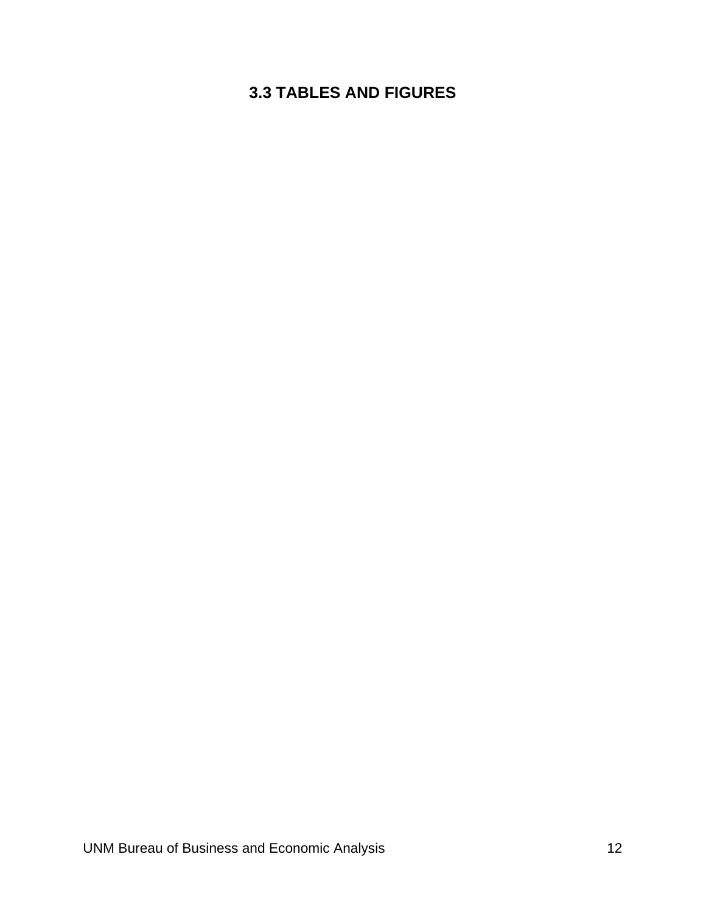## <span id="page-14-0"></span>**3.3 TABLES AND FIGURES**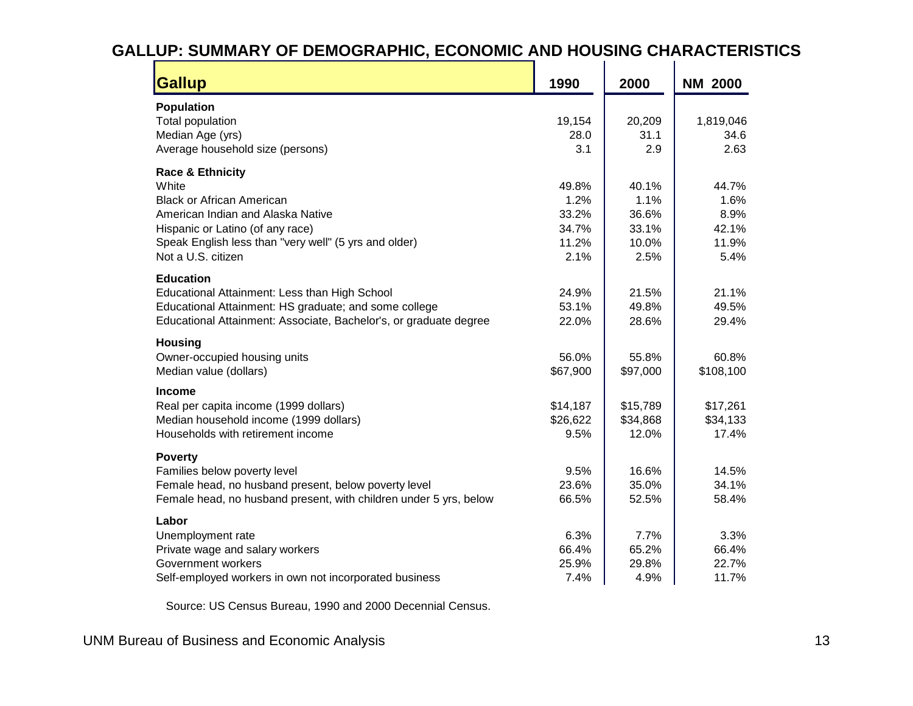# **GALLUP: SUMMARY OF DEMOGRAPHIC, ECONOMIC AND HOUSING CHARACTERISTICS**

| <b>Gallup</b>                                                     | 1990     | 2000     | <b>NM 2000</b> |
|-------------------------------------------------------------------|----------|----------|----------------|
| <b>Population</b>                                                 |          |          |                |
| Total population                                                  | 19,154   | 20,209   | 1,819,046      |
| Median Age (yrs)                                                  | 28.0     | 31.1     | 34.6           |
| Average household size (persons)                                  | 3.1      | 2.9      | 2.63           |
| <b>Race &amp; Ethnicity</b>                                       |          |          |                |
| White                                                             | 49.8%    | 40.1%    | 44.7%          |
| <b>Black or African American</b>                                  | 1.2%     | 1.1%     | 1.6%           |
| American Indian and Alaska Native                                 | 33.2%    | 36.6%    | 8.9%           |
| Hispanic or Latino (of any race)                                  | 34.7%    | 33.1%    | 42.1%          |
| Speak English less than "very well" (5 yrs and older)             | 11.2%    | 10.0%    | 11.9%          |
| Not a U.S. citizen                                                | 2.1%     | 2.5%     | 5.4%           |
| <b>Education</b>                                                  |          |          |                |
| Educational Attainment: Less than High School                     | 24.9%    | 21.5%    | 21.1%          |
| Educational Attainment: HS graduate; and some college             | 53.1%    | 49.8%    | 49.5%          |
| Educational Attainment: Associate, Bachelor's, or graduate degree | 22.0%    | 28.6%    | 29.4%          |
| <b>Housing</b>                                                    |          |          |                |
| Owner-occupied housing units                                      | 56.0%    | 55.8%    | 60.8%          |
| Median value (dollars)                                            | \$67,900 | \$97,000 | \$108,100      |
| <b>Income</b>                                                     |          |          |                |
| Real per capita income (1999 dollars)                             | \$14,187 | \$15,789 | \$17,261       |
| Median household income (1999 dollars)                            | \$26,622 | \$34,868 | \$34,133       |
| Households with retirement income                                 | 9.5%     | 12.0%    | 17.4%          |
| <b>Poverty</b>                                                    |          |          |                |
| Families below poverty level                                      | 9.5%     | 16.6%    | 14.5%          |
| Female head, no husband present, below poverty level              | 23.6%    | 35.0%    | 34.1%          |
| Female head, no husband present, with children under 5 yrs, below | 66.5%    | 52.5%    | 58.4%          |
|                                                                   |          |          |                |
| Labor                                                             |          |          |                |
| Unemployment rate                                                 | 6.3%     | 7.7%     | 3.3%           |
| Private wage and salary workers                                   | 66.4%    | 65.2%    | 66.4%          |
| Government workers                                                | 25.9%    | 29.8%    | 22.7%          |
| Self-employed workers in own not incorporated business            | 7.4%     | 4.9%     | 11.7%          |

Source: US Census Bureau, 1990 and 2000 Decennial Census.

<span id="page-15-0"></span>UNM Bureau of Business and Economic Analysis 13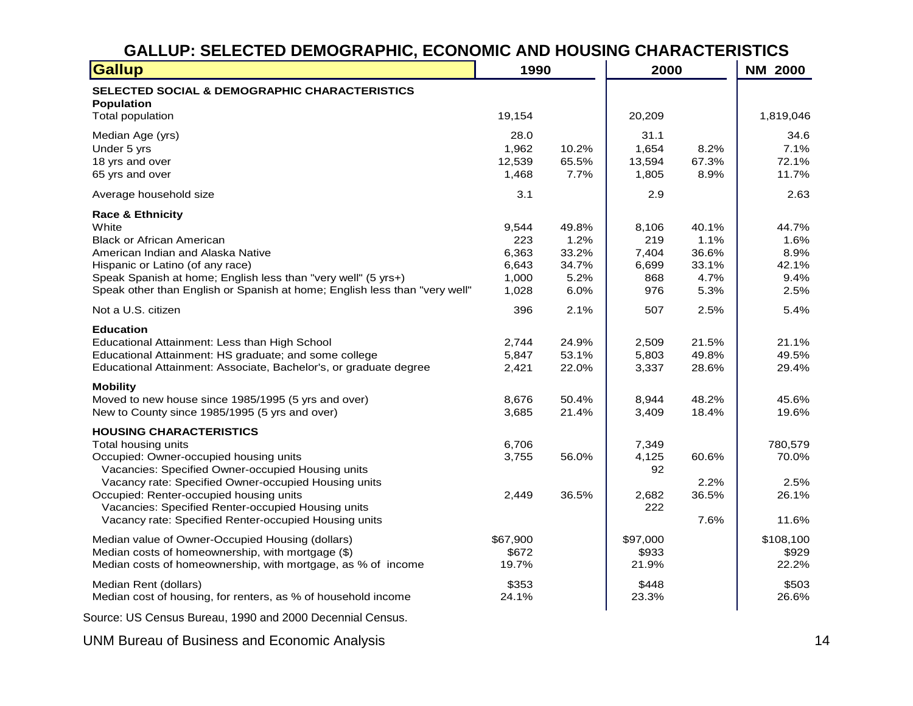## **GALLUP: SELECTED DEMOGRAPHIC, ECONOMIC AND HOUSING CHARACTERISTICS**

| <b>Gallup</b>                                                                                                                                                                                                                                                                                                                                                          | 1990                                             |                                                 | 2000                                         |                                                 | <b>NM 2000</b>                                 |
|------------------------------------------------------------------------------------------------------------------------------------------------------------------------------------------------------------------------------------------------------------------------------------------------------------------------------------------------------------------------|--------------------------------------------------|-------------------------------------------------|----------------------------------------------|-------------------------------------------------|------------------------------------------------|
| SELECTED SOCIAL & DEMOGRAPHIC CHARACTERISTICS<br><b>Population</b>                                                                                                                                                                                                                                                                                                     |                                                  |                                                 |                                              |                                                 |                                                |
| Total population                                                                                                                                                                                                                                                                                                                                                       | 19,154                                           |                                                 | 20,209                                       |                                                 | 1,819,046                                      |
| Median Age (yrs)<br>Under 5 yrs<br>18 yrs and over<br>65 yrs and over                                                                                                                                                                                                                                                                                                  | 28.0<br>1,962<br>12,539<br>1,468                 | 10.2%<br>65.5%<br>7.7%                          | 31.1<br>1,654<br>13,594<br>1,805             | 8.2%<br>67.3%<br>8.9%                           | 34.6<br>7.1%<br>72.1%<br>11.7%                 |
| Average household size                                                                                                                                                                                                                                                                                                                                                 | 3.1                                              |                                                 | 2.9                                          |                                                 | 2.63                                           |
| <b>Race &amp; Ethnicity</b><br>White<br><b>Black or African American</b><br>American Indian and Alaska Native<br>Hispanic or Latino (of any race)<br>Speak Spanish at home; English less than "very well" (5 yrs+)<br>Speak other than English or Spanish at home; English less than "very well"                                                                       | 9,544<br>223<br>6,363<br>6,643<br>1,000<br>1,028 | 49.8%<br>1.2%<br>33.2%<br>34.7%<br>5.2%<br>6.0% | 8,106<br>219<br>7,404<br>6,699<br>868<br>976 | 40.1%<br>1.1%<br>36.6%<br>33.1%<br>4.7%<br>5.3% | 44.7%<br>1.6%<br>8.9%<br>42.1%<br>9.4%<br>2.5% |
| Not a U.S. citizen                                                                                                                                                                                                                                                                                                                                                     | 396                                              | 2.1%                                            | 507                                          | 2.5%                                            | 5.4%                                           |
| <b>Education</b><br>Educational Attainment: Less than High School<br>Educational Attainment: HS graduate; and some college<br>Educational Attainment: Associate, Bachelor's, or graduate degree                                                                                                                                                                        | 2,744<br>5,847<br>2,421                          | 24.9%<br>53.1%<br>22.0%                         | 2,509<br>5,803<br>3,337                      | 21.5%<br>49.8%<br>28.6%                         | 21.1%<br>49.5%<br>29.4%                        |
| <b>Mobility</b><br>Moved to new house since 1985/1995 (5 yrs and over)<br>New to County since 1985/1995 (5 yrs and over)                                                                                                                                                                                                                                               | 8,676<br>3,685                                   | 50.4%<br>21.4%                                  | 8,944<br>3,409                               | 48.2%<br>18.4%                                  | 45.6%<br>19.6%                                 |
| <b>HOUSING CHARACTERISTICS</b><br>Total housing units<br>Occupied: Owner-occupied housing units<br>Vacancies: Specified Owner-occupied Housing units<br>Vacancy rate: Specified Owner-occupied Housing units<br>Occupied: Renter-occupied housing units<br>Vacancies: Specified Renter-occupied Housing units<br>Vacancy rate: Specified Renter-occupied Housing units | 6,706<br>3,755<br>2,449                          | 56.0%<br>36.5%                                  | 7,349<br>4,125<br>92<br>2,682<br>222         | 60.6%<br>2.2%<br>36.5%<br>7.6%                  | 780,579<br>70.0%<br>2.5%<br>26.1%<br>11.6%     |
| Median value of Owner-Occupied Housing (dollars)<br>Median costs of homeownership, with mortgage (\$)<br>Median costs of homeownership, with mortgage, as % of income                                                                                                                                                                                                  | \$67,900<br>\$672<br>19.7%                       |                                                 | \$97,000<br>\$933<br>21.9%                   |                                                 | \$108,100<br>\$929<br>22.2%                    |
| Median Rent (dollars)<br>Median cost of housing, for renters, as % of household income                                                                                                                                                                                                                                                                                 | \$353<br>24.1%                                   |                                                 | \$448<br>23.3%                               |                                                 | \$503<br>26.6%                                 |

Source: US Census Bureau, 1990 and 2000 Decennial Census.

<span id="page-16-0"></span>UNM Bureau of Business and Economic Analysis 14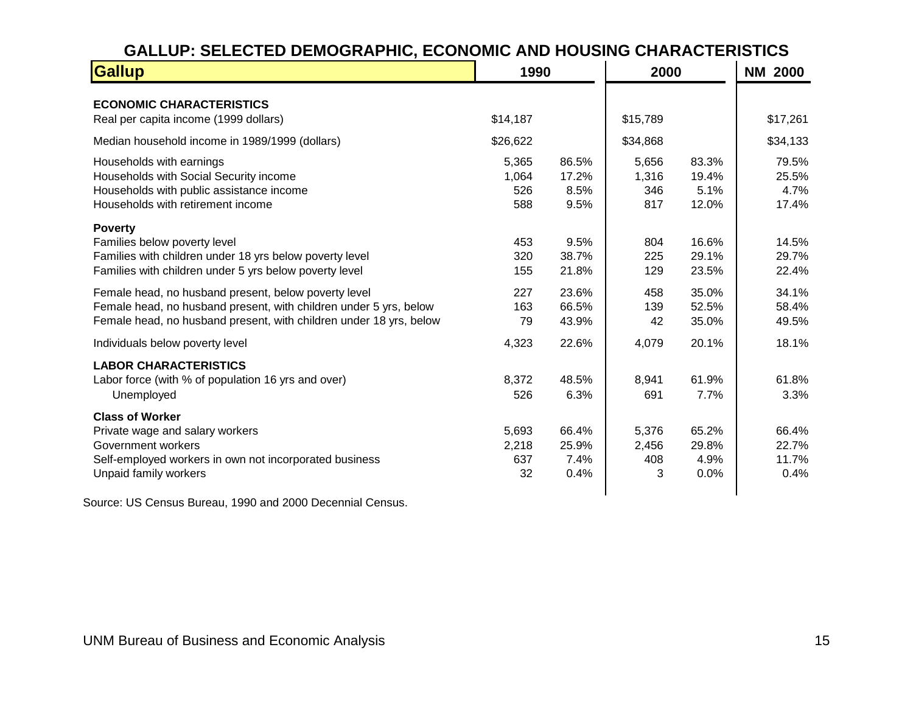## **GALLUP: SELECTED DEMOGRAPHIC, ECONOMIC AND HOUSING CHARACTERISTICS**

| <b>Gallup</b>                                                                                                                                                                                   | 1990                         |                                | 2000                         |                                 | <b>NM 2000</b>                  |
|-------------------------------------------------------------------------------------------------------------------------------------------------------------------------------------------------|------------------------------|--------------------------------|------------------------------|---------------------------------|---------------------------------|
| <b>ECONOMIC CHARACTERISTICS</b><br>Real per capita income (1999 dollars)                                                                                                                        | \$14,187                     |                                | \$15,789                     |                                 | \$17,261                        |
| Median household income in 1989/1999 (dollars)                                                                                                                                                  | \$26,622                     |                                | \$34,868                     |                                 | \$34,133                        |
| Households with earnings<br>Households with Social Security income<br>Households with public assistance income<br>Households with retirement income                                             | 5,365<br>1,064<br>526<br>588 | 86.5%<br>17.2%<br>8.5%<br>9.5% | 5,656<br>1,316<br>346<br>817 | 83.3%<br>19.4%<br>5.1%<br>12.0% | 79.5%<br>25.5%<br>4.7%<br>17.4% |
| <b>Poverty</b><br>Families below poverty level<br>Families with children under 18 yrs below poverty level<br>Families with children under 5 yrs below poverty level                             | 453<br>320<br>155            | 9.5%<br>38.7%<br>21.8%         | 804<br>225<br>129            | 16.6%<br>29.1%<br>23.5%         | 14.5%<br>29.7%<br>22.4%         |
| Female head, no husband present, below poverty level<br>Female head, no husband present, with children under 5 yrs, below<br>Female head, no husband present, with children under 18 yrs, below | 227<br>163<br>79             | 23.6%<br>66.5%<br>43.9%        | 458<br>139<br>42             | 35.0%<br>52.5%<br>35.0%         | 34.1%<br>58.4%<br>49.5%         |
| Individuals below poverty level                                                                                                                                                                 | 4,323                        | 22.6%                          | 4,079                        | 20.1%                           | 18.1%                           |
| <b>LABOR CHARACTERISTICS</b><br>Labor force (with % of population 16 yrs and over)<br>Unemployed                                                                                                | 8,372<br>526                 | 48.5%<br>6.3%                  | 8,941<br>691                 | 61.9%<br>7.7%                   | 61.8%<br>3.3%                   |
| <b>Class of Worker</b><br>Private wage and salary workers<br>Government workers<br>Self-employed workers in own not incorporated business<br>Unpaid family workers                              | 5,693<br>2,218<br>637<br>32  | 66.4%<br>25.9%<br>7.4%<br>0.4% | 5,376<br>2,456<br>408<br>3   | 65.2%<br>29.8%<br>4.9%<br>0.0%  | 66.4%<br>22.7%<br>11.7%<br>0.4% |

<span id="page-17-0"></span>Source: US Census Bureau, 1990 and 2000 Decennial Census.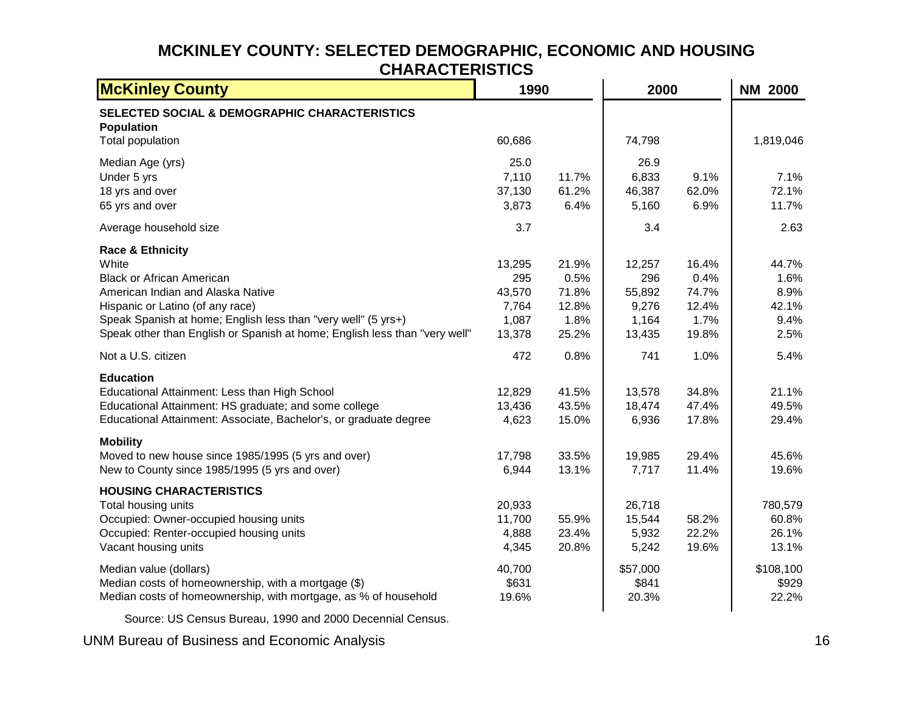#### **MCKINLEY COUNTY: SELECTED DEMOGRAPHIC, ECONOMIC AND HOUSING CHARACTERISTICS**

| <b>McKinley County</b>                                                                                                                                                                                                                                                                           | 1990                                                |                                                  | 2000                                                |                                                  | <b>NM 2000</b>                                 |
|--------------------------------------------------------------------------------------------------------------------------------------------------------------------------------------------------------------------------------------------------------------------------------------------------|-----------------------------------------------------|--------------------------------------------------|-----------------------------------------------------|--------------------------------------------------|------------------------------------------------|
| SELECTED SOCIAL & DEMOGRAPHIC CHARACTERISTICS<br><b>Population</b><br><b>Total population</b>                                                                                                                                                                                                    | 60,686                                              |                                                  | 74,798                                              |                                                  | 1,819,046                                      |
| Median Age (yrs)<br>Under 5 yrs<br>18 yrs and over<br>65 yrs and over                                                                                                                                                                                                                            | 25.0<br>7,110<br>37,130<br>3,873                    | 11.7%<br>61.2%<br>6.4%                           | 26.9<br>6,833<br>46,387<br>5,160                    | 9.1%<br>62.0%<br>6.9%                            | 7.1%<br>72.1%<br>11.7%                         |
| Average household size                                                                                                                                                                                                                                                                           | 3.7                                                 |                                                  | 3.4                                                 |                                                  | 2.63                                           |
| <b>Race &amp; Ethnicity</b><br>White<br><b>Black or African American</b><br>American Indian and Alaska Native<br>Hispanic or Latino (of any race)<br>Speak Spanish at home; English less than "very well" (5 yrs+)<br>Speak other than English or Spanish at home; English less than "very well" | 13,295<br>295<br>43,570<br>7,764<br>1,087<br>13,378 | 21.9%<br>0.5%<br>71.8%<br>12.8%<br>1.8%<br>25.2% | 12,257<br>296<br>55,892<br>9,276<br>1,164<br>13,435 | 16.4%<br>0.4%<br>74.7%<br>12.4%<br>1.7%<br>19.8% | 44.7%<br>1.6%<br>8.9%<br>42.1%<br>9.4%<br>2.5% |
| Not a U.S. citizen                                                                                                                                                                                                                                                                               | 472                                                 | 0.8%                                             | 741                                                 | 1.0%                                             | 5.4%                                           |
| <b>Education</b><br>Educational Attainment: Less than High School<br>Educational Attainment: HS graduate; and some college<br>Educational Attainment: Associate, Bachelor's, or graduate degree                                                                                                  | 12,829<br>13,436<br>4,623                           | 41.5%<br>43.5%<br>15.0%                          | 13,578<br>18,474<br>6,936                           | 34.8%<br>47.4%<br>17.8%                          | 21.1%<br>49.5%<br>29.4%                        |
| <b>Mobility</b><br>Moved to new house since 1985/1995 (5 yrs and over)<br>New to County since 1985/1995 (5 yrs and over)                                                                                                                                                                         | 17,798<br>6,944                                     | 33.5%<br>13.1%                                   | 19,985<br>7,717                                     | 29.4%<br>11.4%                                   | 45.6%<br>19.6%                                 |
| <b>HOUSING CHARACTERISTICS</b><br>Total housing units<br>Occupied: Owner-occupied housing units<br>Occupied: Renter-occupied housing units<br>Vacant housing units                                                                                                                               | 20,933<br>11,700<br>4,888<br>4,345                  | 55.9%<br>23.4%<br>20.8%                          | 26,718<br>15,544<br>5,932<br>5,242                  | 58.2%<br>22.2%<br>19.6%                          | 780,579<br>60.8%<br>26.1%<br>13.1%             |
| Median value (dollars)<br>Median costs of homeownership, with a mortgage (\$)<br>Median costs of homeownership, with mortgage, as % of household                                                                                                                                                 | 40,700<br>\$631<br>19.6%                            |                                                  | \$57,000<br>\$841<br>20.3%                          |                                                  | \$108,100<br>\$929<br>22.2%                    |

Source: US Census Bureau, 1990 and 2000 Decennial Census.

<span id="page-18-0"></span>UNM Bureau of Business and Economic Analysis 16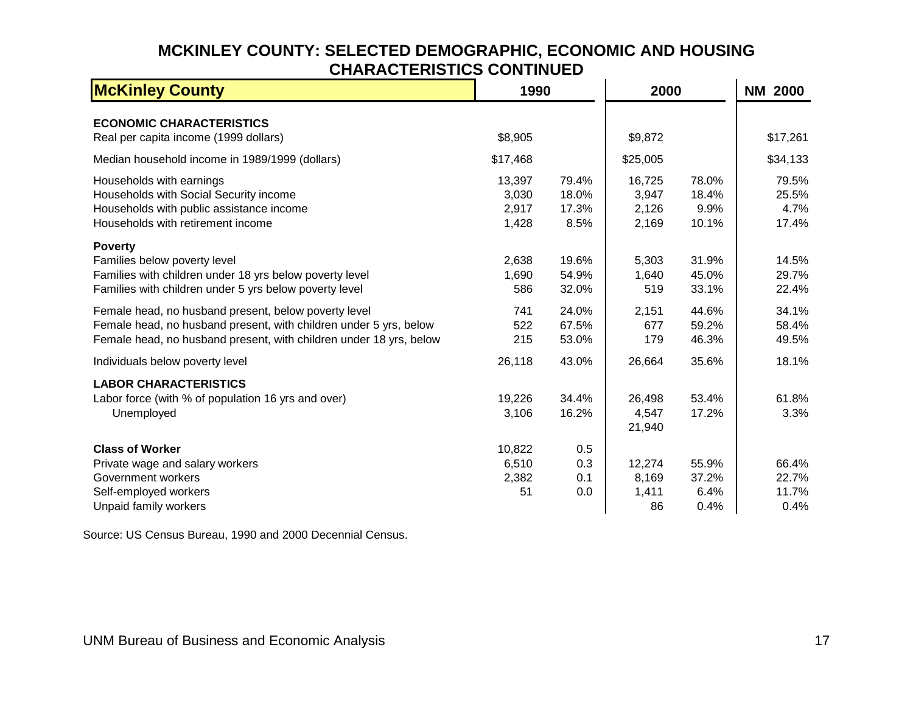## **MCKINLEY COUNTY: SELECTED DEMOGRAPHIC, ECONOMIC AND HOUSING CHARACTERISTICS CONTINUED**

<span id="page-19-1"></span>

| <b>McKinley County</b>                                                                                                                                                                          |                                   | 1990                            |                                   | 2000                            | <b>NM 2000</b>                  |  |
|-------------------------------------------------------------------------------------------------------------------------------------------------------------------------------------------------|-----------------------------------|---------------------------------|-----------------------------------|---------------------------------|---------------------------------|--|
| <b>ECONOMIC CHARACTERISTICS</b><br>Real per capita income (1999 dollars)                                                                                                                        | \$8,905                           |                                 | \$9,872                           |                                 | \$17,261                        |  |
| Median household income in 1989/1999 (dollars)                                                                                                                                                  | \$17,468                          |                                 | \$25,005                          |                                 | \$34,133                        |  |
| Households with earnings<br>Households with Social Security income<br>Households with public assistance income<br>Households with retirement income                                             | 13,397<br>3,030<br>2,917<br>1,428 | 79.4%<br>18.0%<br>17.3%<br>8.5% | 16,725<br>3,947<br>2,126<br>2,169 | 78.0%<br>18.4%<br>9.9%<br>10.1% | 79.5%<br>25.5%<br>4.7%<br>17.4% |  |
| <b>Poverty</b><br>Families below poverty level<br>Families with children under 18 yrs below poverty level<br>Families with children under 5 yrs below poverty level                             | 2,638<br>1,690<br>586             | 19.6%<br>54.9%<br>32.0%         | 5,303<br>1,640<br>519             | 31.9%<br>45.0%<br>33.1%         | 14.5%<br>29.7%<br>22.4%         |  |
| Female head, no husband present, below poverty level<br>Female head, no husband present, with children under 5 yrs, below<br>Female head, no husband present, with children under 18 yrs, below | 741<br>522<br>215                 | 24.0%<br>67.5%<br>53.0%         | 2,151<br>677<br>179               | 44.6%<br>59.2%<br>46.3%         | 34.1%<br>58.4%<br>49.5%         |  |
| Individuals below poverty level                                                                                                                                                                 | 26,118                            | 43.0%                           | 26,664                            | 35.6%                           | 18.1%                           |  |
| <b>LABOR CHARACTERISTICS</b><br>Labor force (with % of population 16 yrs and over)<br>Unemployed                                                                                                | 19,226<br>3,106                   | 34.4%<br>16.2%                  | 26,498<br>4,547<br>21,940         | 53.4%<br>17.2%                  | 61.8%<br>3.3%                   |  |
| <b>Class of Worker</b><br>Private wage and salary workers<br>Government workers<br>Self-employed workers<br>Unpaid family workers                                                               | 10,822<br>6,510<br>2,382<br>51    | 0.5<br>0.3<br>0.1<br>0.0        | 12,274<br>8,169<br>1,411<br>86    | 55.9%<br>37.2%<br>6.4%<br>0.4%  | 66.4%<br>22.7%<br>11.7%<br>0.4% |  |

<span id="page-19-0"></span>Source: US Census Bureau, 1990 and 2000 Decennial Census.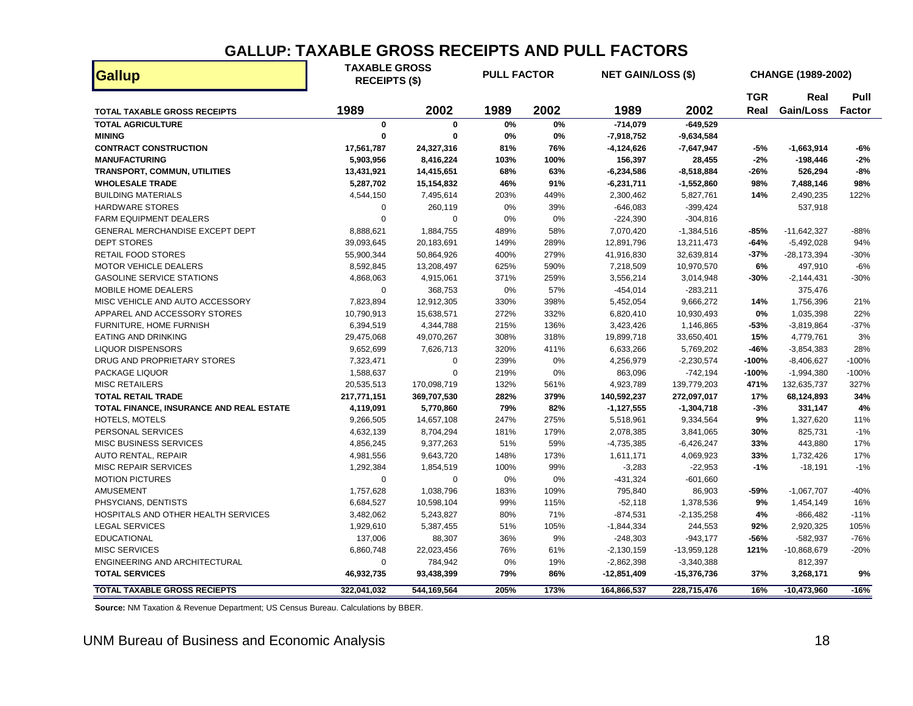### **GALLUP: TAXABLE GROSS RECEIPTS AND PULL FACTORS**

| <b>Gallup</b>                            |             | <b>TAXABLE GROSS</b><br><b>PULL FACTOR</b><br><b>RECEIPTS (\$)</b> |       |      |              | <b>NET GAIN/LOSS (\$)</b> |            |                | CHANGE (1989-2002) |  |
|------------------------------------------|-------------|--------------------------------------------------------------------|-------|------|--------------|---------------------------|------------|----------------|--------------------|--|
|                                          |             |                                                                    |       |      |              |                           | <b>TGR</b> | Real           | Pull               |  |
| <b>TOTAL TAXABLE GROSS RECEIPTS</b>      | 1989        | 2002                                                               | 1989  | 2002 | 1989         | 2002                      | Real       | Gain/Loss      | <b>Factor</b>      |  |
| <b>TOTAL AGRICULTURE</b>                 | $\mathbf 0$ | $\mathbf 0$                                                        | 0%    | 0%   | $-714,079$   | $-649,529$                |            |                |                    |  |
| <b>MINING</b>                            | 0           | $\mathbf{0}$                                                       | 0%    | 0%   | $-7,918,752$ | $-9,634,584$              |            |                |                    |  |
| <b>CONTRACT CONSTRUCTION</b>             | 17,561,787  | 24,327,316                                                         | 81%   | 76%  | $-4,124,626$ | $-7,647,947$              | -5%        | $-1,663,914$   | -6%                |  |
| <b>MANUFACTURING</b>                     | 5,903,956   | 8,416,224                                                          | 103%  | 100% | 156,397      | 28,455                    | $-2%$      | $-198,446$     | $-2%$              |  |
| <b>TRANSPORT, COMMUN, UTILITIES</b>      | 13,431,921  | 14,415,651                                                         | 68%   | 63%  | $-6,234,586$ | $-8,518,884$              | -26%       | 526,294        | -8%                |  |
| <b>WHOLESALE TRADE</b>                   | 5,287,702   | 15,154,832                                                         | 46%   | 91%  | $-6,231,711$ | $-1,552,860$              | 98%        | 7,488,146      | 98%                |  |
| <b>BUILDING MATERIALS</b>                | 4,544,150   | 7,495,614                                                          | 203%  | 449% | 2,300,462    | 5,827,761                 | 14%        | 2,490,235      | 122%               |  |
| <b>HARDWARE STORES</b>                   | 0           | 260,119                                                            | 0%    | 39%  | $-646,083$   | $-399,424$                |            | 537,918        |                    |  |
| <b>FARM EQUIPMENT DEALERS</b>            | 0           | $\mathbf 0$                                                        | 0%    | 0%   | $-224,390$   | $-304,816$                |            |                |                    |  |
| GENERAL MERCHANDISE EXCEPT DEPT          | 8,888,621   | 1,884,755                                                          | 489%  | 58%  | 7,070,420    | $-1,384,516$              | $-85%$     | $-11,642,327$  | $-88%$             |  |
| <b>DEPT STORES</b>                       | 39,093,645  | 20,183,691                                                         | 149%  | 289% | 12,891,796   | 13,211,473                | $-64%$     | $-5,492,028$   | 94%                |  |
| RETAIL FOOD STORES                       | 55,900,344  | 50,864,926                                                         | 400%  | 279% | 41,916,830   | 32,639,814                | $-37%$     | $-28,173,394$  | -30%               |  |
| MOTOR VEHICLE DEALERS                    | 8,592,845   | 13,208,497                                                         | 625%  | 590% | 7,218,509    | 10,970,570                | 6%         | 497,910        | $-6%$              |  |
| <b>GASOLINE SERVICE STATIONS</b>         | 4,868,063   | 4,915,061                                                          | 371%  | 259% | 3,556,214    | 3,014,948                 | $-30%$     | $-2, 144, 431$ | $-30%$             |  |
| MOBILE HOME DEALERS                      | $\mathbf 0$ | 368,753                                                            | 0%    | 57%  | $-454,014$   | $-283,211$                |            | 375,476        |                    |  |
| MISC VEHICLE AND AUTO ACCESSORY          | 7,823,894   | 12,912,305                                                         | 330%  | 398% | 5,452,054    | 9,666,272                 | 14%        | 1,756,396      | 21%                |  |
| APPAREL AND ACCESSORY STORES             | 10,790,913  | 15,638,571                                                         | 272%  | 332% | 6,820,410    | 10,930,493                | 0%         | 1,035,398      | 22%                |  |
| FURNITURE, HOME FURNISH                  | 6,394,519   | 4,344,788                                                          | 215%  | 136% | 3,423,426    | 1,146,865                 | -53%       | $-3,819,864$   | $-37%$             |  |
| <b>EATING AND DRINKING</b>               | 29,475,068  | 49,070,267                                                         | 308%  | 318% | 19,899,718   | 33,650,401                | 15%        | 4,779,761      | 3%                 |  |
| <b>LIQUOR DISPENSORS</b>                 | 9,652,699   | 7,626,713                                                          | 320%  | 411% | 6,633,266    | 5,769,202                 | $-46%$     | $-3,854,383$   | 28%                |  |
| DRUG AND PROPRIETARY STORES              | 7,323,471   | $\mathbf 0$                                                        | 239%  | 0%   | 4,256,979    | $-2,230,574$              | -100%      | $-8,406,627$   | -100%              |  |
| PACKAGE LIQUOR                           | 1,588,637   | $\Omega$                                                           | 219%  | 0%   | 863,096      | $-742,194$                | $-100%$    | $-1,994,380$   | -100%              |  |
| <b>MISC RETAILERS</b>                    | 20,535,513  | 170,098,719                                                        | 132%  | 561% | 4,923,789    | 139,779,203               | 471%       | 132,635,737    | 327%               |  |
| <b>TOTAL RETAIL TRADE</b>                | 217,771,151 | 369,707,530                                                        | 282%  | 379% | 140,592,237  | 272,097,017               | 17%        | 68,124,893     | 34%                |  |
| TOTAL FINANCE, INSURANCE AND REAL ESTATE | 4,119,091   | 5,770,860                                                          | 79%   | 82%  | $-1,127,555$ | $-1,304,718$              | $-3%$      | 331,147        | 4%                 |  |
| HOTELS, MOTELS                           | 9,266,505   | 14,657,108                                                         | 247%  | 275% | 5,518,961    | 9,334,564                 | 9%         | 1,327,620      | 11%                |  |
| PERSONAL SERVICES                        | 4,632,139   | 8,704,294                                                          | 181%  | 179% | 2,078,385    | 3,841,065                 | 30%        | 825,731        | $-1%$              |  |
| <b>MISC BUSINESS SERVICES</b>            | 4,856,245   | 9,377,263                                                          | 51%   | 59%  | $-4,735,385$ | $-6,426,247$              | 33%        | 443,880        | 17%                |  |
| <b>AUTO RENTAL, REPAIR</b>               | 4,981,556   | 9,643,720                                                          | 148%  | 173% | 1,611,171    | 4,069,923                 | 33%        | 1,732,426      | 17%                |  |
| <b>MISC REPAIR SERVICES</b>              | 1,292,384   | 1,854,519                                                          | 100%  | 99%  | $-3,283$     | $-22,953$                 | $-1%$      | $-18,191$      | $-1%$              |  |
| <b>MOTION PICTURES</b>                   | $\Omega$    | $\mathbf 0$                                                        | 0%    | 0%   | $-431,324$   | $-601,660$                |            |                |                    |  |
| <b>AMUSEMENT</b>                         | 1,757,628   | 1,038,796                                                          | 183%  | 109% | 795,840      | 86,903                    | -59%       | $-1,067,707$   | $-40%$             |  |
| PHSYCIANS, DENTISTS                      | 6,684,527   | 10,598,104                                                         | 99%   | 115% | $-52,118$    | 1,378,536                 | 9%         | 1,454,149      | 16%                |  |
| HOSPITALS AND OTHER HEALTH SERVICES      | 3,482,062   | 5,243,827                                                          | 80%   | 71%  | $-874,531$   | $-2,135,258$              | 4%         | $-866,482$     | $-11%$             |  |
| <b>LEGAL SERVICES</b>                    | 1,929,610   | 5,387,455                                                          | 51%   | 105% | $-1,844,334$ | 244,553                   | 92%        | 2,920,325      | 105%               |  |
| <b>EDUCATIONAL</b>                       | 137,006     | 88,307                                                             | 36%   | 9%   | $-248,303$   | $-943,177$                | $-56%$     | $-582,937$     | -76%               |  |
| <b>MISC SERVICES</b>                     | 6,860,748   | 22,023,456                                                         | 76%   | 61%  | $-2,130,159$ | $-13,959,128$             | 121%       | $-10,868,679$  | $-20%$             |  |
| ENGINEERING AND ARCHITECTURAL            | $\mathbf 0$ | 784,942                                                            | $0\%$ | 19%  | $-2,862,398$ | $-3,340,388$              |            | 812,397        |                    |  |
| <b>TOTAL SERVICES</b>                    | 46,932,735  | 93,438,399                                                         | 79%   | 86%  | -12,851,409  | -15,376,736               | 37%        | 3,268,171      | 9%                 |  |
| <b>TOTAL TAXABLE GROSS RECIEPTS</b>      | 322.041.032 | 544.169.564                                                        | 205%  | 173% | 164.866.537  | 228.715.476               | 16%        | $-10.473.960$  | $-16%$             |  |

<span id="page-20-0"></span>**Source:** NM Taxation & Revenue Department; US Census Bureau. Calculations by BBER.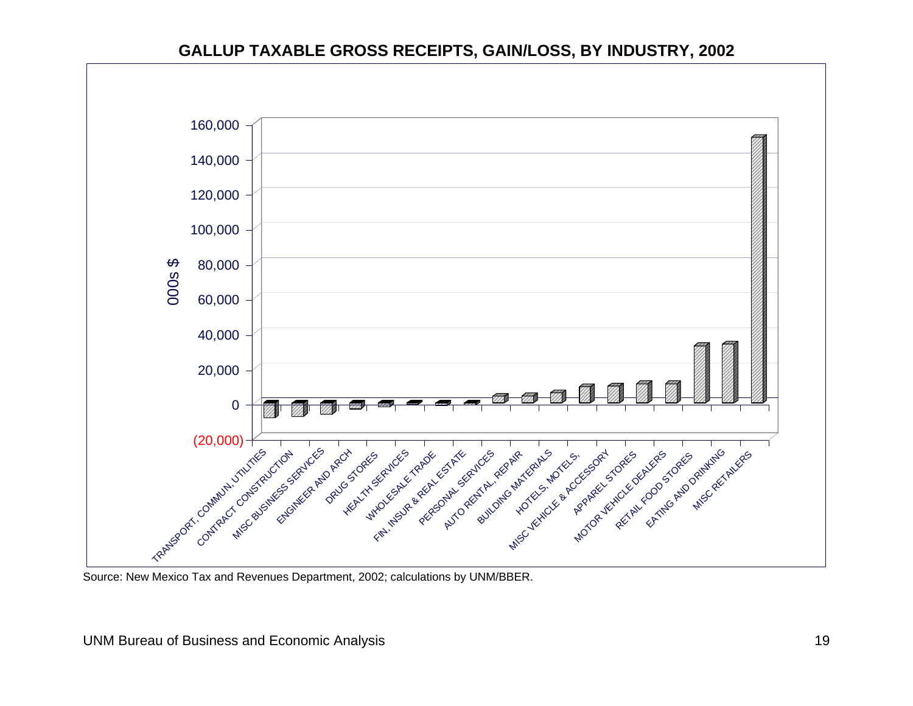#### **GALLUP TAXABLE GROSS RECEIPTS, GAIN/LOSS, BY INDUSTRY, 2002**



<span id="page-21-0"></span>Source: New Mexico Tax and Revenues Department, 2002; calculations by UNM/BBER.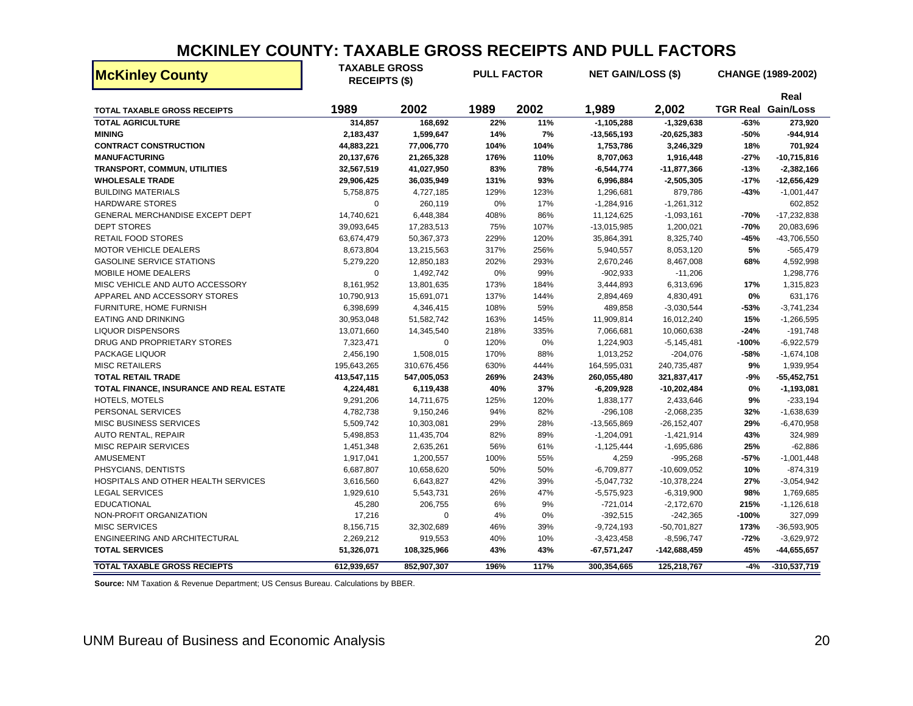### **MCKINLEY COUNTY: TAXABLE GROSS RECEIPTS AND PULL FACTORS**

| <b>McKinley County</b>                   | <b>TAXABLE GROSS</b><br><b>RECEIPTS (\$)</b> |             | <b>PULL FACTOR</b> |      | <b>NET GAIN/LOSS (\$)</b> |                 |         | CHANGE (1989-2002)                |
|------------------------------------------|----------------------------------------------|-------------|--------------------|------|---------------------------|-----------------|---------|-----------------------------------|
|                                          | 1989                                         | 2002        | 1989               | 2002 | 1,989                     | 2,002           |         | Real<br><b>TGR Real Gain/Loss</b> |
| TOTAL TAXABLE GROSS RECEIPTS             |                                              |             |                    |      |                           |                 |         |                                   |
| <b>TOTAL AGRICULTURE</b>                 | 314,857                                      | 168,692     | 22%                | 11%  | $-1, 105, 288$            | $-1,329,638$    | $-63%$  | 273,920                           |
| <b>MINING</b>                            | 2,183,437                                    | 1,599,647   | 14%                | 7%   | $-13,565,193$             | $-20,625,383$   | -50%    | $-944,914$                        |
| <b>CONTRACT CONSTRUCTION</b>             | 44,883,221                                   | 77,006,770  | 104%               | 104% | 1,753,786                 | 3,246,329       | 18%     | 701,924                           |
| <b>MANUFACTURING</b>                     | 20,137,676                                   | 21,265,328  | 176%               | 110% | 8,707,063                 | 1,916,448       | $-27%$  | $-10,715,816$                     |
| <b>TRANSPORT, COMMUN, UTILITIES</b>      | 32,567,519                                   | 41,027,950  | 83%                | 78%  | $-6,544,774$              | -11,877,366     | $-13%$  | $-2,382,166$                      |
| <b>WHOLESALE TRADE</b>                   | 29,906,425                                   | 36,035,949  | 131%               | 93%  | 6,996,884                 | $-2,505,305$    | $-17%$  | $-12,656,429$                     |
| <b>BUILDING MATERIALS</b>                | 5,758,875                                    | 4,727,185   | 129%               | 123% | 1,296,681                 | 879,786         | -43%    | $-1,001,447$                      |
| HARDWARE STORES                          | $\mathbf 0$                                  | 260,119     | 0%                 | 17%  | $-1,284,916$              | $-1,261,312$    |         | 602,852                           |
| GENERAL MERCHANDISE EXCEPT DEPT          | 14,740,621                                   | 6,448,384   | 408%               | 86%  | 11,124,625                | $-1,093,161$    | -70%    | $-17,232,838$                     |
| <b>DEPT STORES</b>                       | 39,093,645                                   | 17,283,513  | 75%                | 107% | $-13,015,985$             | 1,200,021       | $-70%$  | 20,083,696                        |
| <b>RETAIL FOOD STORES</b>                | 63,674,479                                   | 50,367,373  | 229%               | 120% | 35,864,391                | 8,325,740       | -45%    | -43,706,550                       |
| <b>MOTOR VEHICLE DEALERS</b>             | 8,673,804                                    | 13,215,563  | 317%               | 256% | 5,940,557                 | 8,053,120       | 5%      | $-565,479$                        |
| <b>GASOLINE SERVICE STATIONS</b>         | 5,279,220                                    | 12,850,183  | 202%               | 293% | 2,670,246                 | 8,467,008       | 68%     | 4,592,998                         |
| MOBILE HOME DEALERS                      | 0                                            | 1,492,742   | 0%                 | 99%  | $-902,933$                | $-11,206$       |         | 1,298,776                         |
| MISC VEHICLE AND AUTO ACCESSORY          | 8,161,952                                    | 13,801,635  | 173%               | 184% | 3,444,893                 | 6,313,696       | 17%     | 1,315,823                         |
| APPAREL AND ACCESSORY STORES             | 10,790,913                                   | 15,691,071  | 137%               | 144% | 2,894,469                 | 4,830,491       | 0%      | 631,176                           |
| FURNITURE, HOME FURNISH                  | 6,398,699                                    | 4,346,415   | 108%               | 59%  | 489,858                   | $-3,030,544$    | -53%    | $-3,741,234$                      |
| <b>EATING AND DRINKING</b>               | 30,953,048                                   | 51,582,742  | 163%               | 145% | 11,909,814                | 16,012,240      | 15%     | $-1,266,595$                      |
| <b>LIQUOR DISPENSORS</b>                 | 13,071,660                                   | 14,345,540  | 218%               | 335% | 7,066,681                 | 10,060,638      | $-24%$  | $-191,748$                        |
| DRUG AND PROPRIETARY STORES              | 7,323,471                                    | $\Omega$    | 120%               | 0%   | 1,224,903                 | $-5,145,481$    | $-100%$ | $-6,922,579$                      |
| PACKAGE LIQUOR                           | 2,456,190                                    | 1,508,015   | 170%               | 88%  | 1,013,252                 | $-204,076$      | -58%    | $-1,674,108$                      |
| <b>MISC RETAILERS</b>                    | 195,643,265                                  | 310,676,456 | 630%               | 444% | 164,595,031               | 240,735,487     | 9%      | 1,939,954                         |
| <b>TOTAL RETAIL TRADE</b>                | 413,547,115                                  | 547,005,053 | 269%               | 243% | 260,055,480               | 321,837,417     | $-9%$   | $-55,452,751$                     |
| TOTAL FINANCE, INSURANCE AND REAL ESTATE | 4,224,481                                    | 6,119,438   | 40%                | 37%  | $-6,209,928$              | $-10,202,484$   | 0%      | $-1,193,081$                      |
| HOTELS, MOTELS                           | 9,291,206                                    | 14,711,675  | 125%               | 120% | 1,838,177                 | 2,433,646       | 9%      | $-233,194$                        |
| PERSONAL SERVICES                        | 4,782,738                                    | 9,150,246   | 94%                | 82%  | $-296,108$                | $-2,068,235$    | 32%     | $-1,638,639$                      |
| <b>MISC BUSINESS SERVICES</b>            | 5,509,742                                    | 10,303,081  | 29%                | 28%  | $-13,565,869$             | $-26, 152, 407$ | 29%     | $-6,470,958$                      |
| <b>AUTO RENTAL, REPAIR</b>               | 5,498,853                                    | 11,435,704  | 82%                | 89%  | $-1,204,091$              | $-1,421,914$    | 43%     | 324,989                           |
| <b>MISC REPAIR SERVICES</b>              | 1,451,348                                    | 2,635,261   | 56%                | 61%  | $-1,125,444$              | $-1,695,686$    | 25%     | $-62,886$                         |
| AMUSEMENT                                | 1,917,041                                    | 1,200,557   | 100%               | 55%  | 4,259                     | $-995,268$      | $-57%$  | $-1,001,448$                      |
| PHSYCIANS, DENTISTS                      | 6,687,807                                    | 10,658,620  | 50%                | 50%  | $-6,709,877$              | $-10,609,052$   | 10%     | $-874,319$                        |
| HOSPITALS AND OTHER HEALTH SERVICES      | 3,616,560                                    | 6,643,827   | 42%                | 39%  | $-5,047,732$              | $-10,378,224$   | 27%     | $-3,054,942$                      |
| <b>LEGAL SERVICES</b>                    | 1,929,610                                    | 5,543,731   | 26%                | 47%  | $-5,575,923$              | $-6,319,900$    | 98%     | 1,769,685                         |
| <b>EDUCATIONAL</b>                       | 45,280                                       | 206,755     | 6%                 | 9%   | $-721,014$                | $-2,172,670$    | 215%    | $-1,126,618$                      |
| NON-PROFIT ORGANIZATION                  | 17,216                                       | $\mathbf 0$ | 4%                 | 0%   | $-392,515$                | $-242,365$      | $-100%$ | 327,099                           |
| <b>MISC SERVICES</b>                     | 8,156,715                                    | 32,302,689  | 46%                | 39%  | $-9,724,193$              | $-50,701,827$   | 173%    | $-36,593,905$                     |
| ENGINEERING AND ARCHITECTURAL            | 2,269,212                                    | 919,553     | 40%                | 10%  | $-3,423,458$              | $-8,596,747$    | $-72%$  | $-3,629,972$                      |
| <b>TOTAL SERVICES</b>                    | 51,326,071                                   | 108,325,966 | 43%                | 43%  | $-67,571,247$             | -142,688,459    | 45%     | -44,655,657                       |
| <b>TOTAL TAXABLE GROSS RECIEPTS</b>      | 612,939,657                                  | 852,907,307 | 196%               | 117% | 300,354,665               | 125,218,767     | $-4%$   | $-310,537,719$                    |

<span id="page-22-0"></span>**Source:** NM Taxation & Revenue Department; US Census Bureau. Calculations by BBER.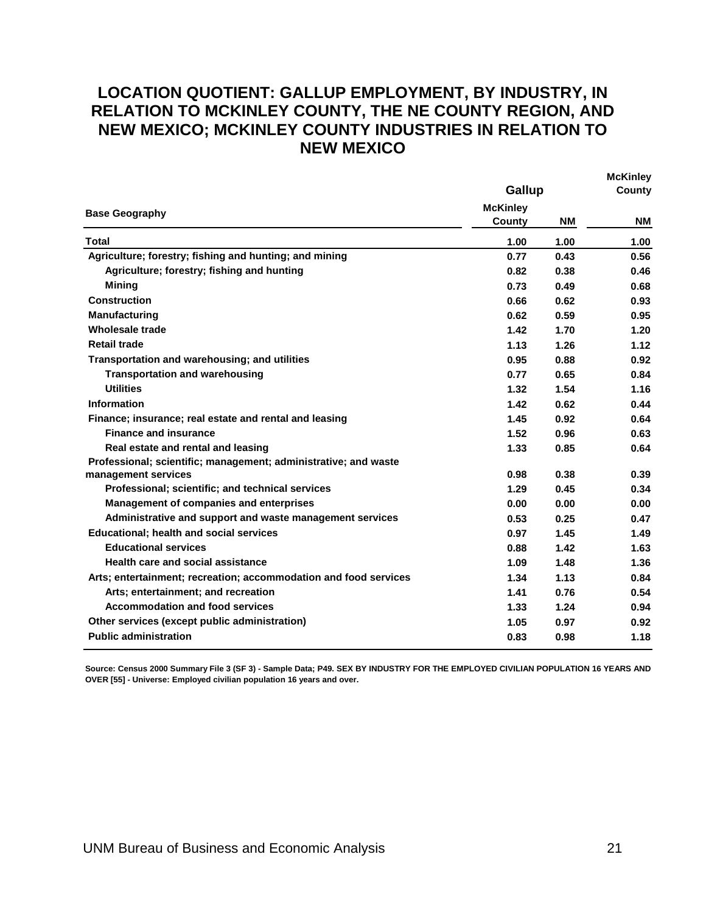### <span id="page-23-0"></span>**LOCATION QUOTIENT: GALLUP EMPLOYMENT, BY INDUSTRY, IN RELATION TO MCKINLEY COUNTY, THE NE COUNTY REGION, AND NEW MEXICO; MCKINLEY COUNTY INDUSTRIES IN RELATION TO NEW MEXICO**

|                                                                  | Gallup                    | <b>INICIALITIEY</b><br>County |           |
|------------------------------------------------------------------|---------------------------|-------------------------------|-----------|
| <b>Base Geography</b>                                            | <b>McKinley</b><br>County | <b>NM</b>                     | <b>NM</b> |
| Total                                                            | 1.00                      | 1.00                          | 1.00      |
| Agriculture; forestry; fishing and hunting; and mining           | 0.77                      | 0.43                          | 0.56      |
| Agriculture; forestry; fishing and hunting                       | 0.82                      | 0.38                          | 0.46      |
| <b>Mining</b>                                                    | 0.73                      | 0.49                          | 0.68      |
| <b>Construction</b>                                              | 0.66                      | 0.62                          | 0.93      |
| Manufacturing                                                    | 0.62                      | 0.59                          | 0.95      |
| Wholesale trade                                                  | 1.42                      | 1.70                          | 1.20      |
| <b>Retail trade</b>                                              | 1.13                      | 1.26                          | 1.12      |
| Transportation and warehousing; and utilities                    | 0.95                      | 0.88                          | 0.92      |
| <b>Transportation and warehousing</b>                            | 0.77                      | 0.65                          | 0.84      |
| <b>Utilities</b>                                                 | 1.32                      | 1.54                          | 1.16      |
| <b>Information</b>                                               | 1.42                      | 0.62                          | 0.44      |
| Finance; insurance; real estate and rental and leasing           | 1.45                      | 0.92                          | 0.64      |
| <b>Finance and insurance</b>                                     | 1.52                      | 0.96                          | 0.63      |
| Real estate and rental and leasing                               | 1.33                      | 0.85                          | 0.64      |
| Professional; scientific; management; administrative; and waste  |                           |                               |           |
| management services                                              | 0.98                      | 0.38                          | 0.39      |
| Professional; scientific; and technical services                 | 1.29                      | 0.45                          | 0.34      |
| Management of companies and enterprises                          | 0.00                      | 0.00                          | 0.00      |
| Administrative and support and waste management services         | 0.53                      | 0.25                          | 0.47      |
| <b>Educational: health and social services</b>                   | 0.97                      | 1.45                          | 1.49      |
| <b>Educational services</b>                                      | 0.88                      | 1.42                          | 1.63      |
| <b>Health care and social assistance</b>                         | 1.09                      | 1.48                          | 1.36      |
| Arts; entertainment; recreation; accommodation and food services | 1.34                      | 1.13                          | 0.84      |
| Arts; entertainment; and recreation                              | 1.41                      | 0.76                          | 0.54      |
| <b>Accommodation and food services</b>                           | 1.33                      | 1.24                          | 0.94      |
| Other services (except public administration)                    | 1.05                      | 0.97                          | 0.92      |
| <b>Public administration</b>                                     | 0.83                      | 0.98                          | 1.18      |

**Source: Census 2000 Summary File 3 (SF 3) - Sample Data; P49. SEX BY INDUSTRY FOR THE EMPLOYED CIVILIAN POPULATION 16 YEARS AND OVER [55] - Universe: Employed civilian population 16 years and over.** 

**McKinley**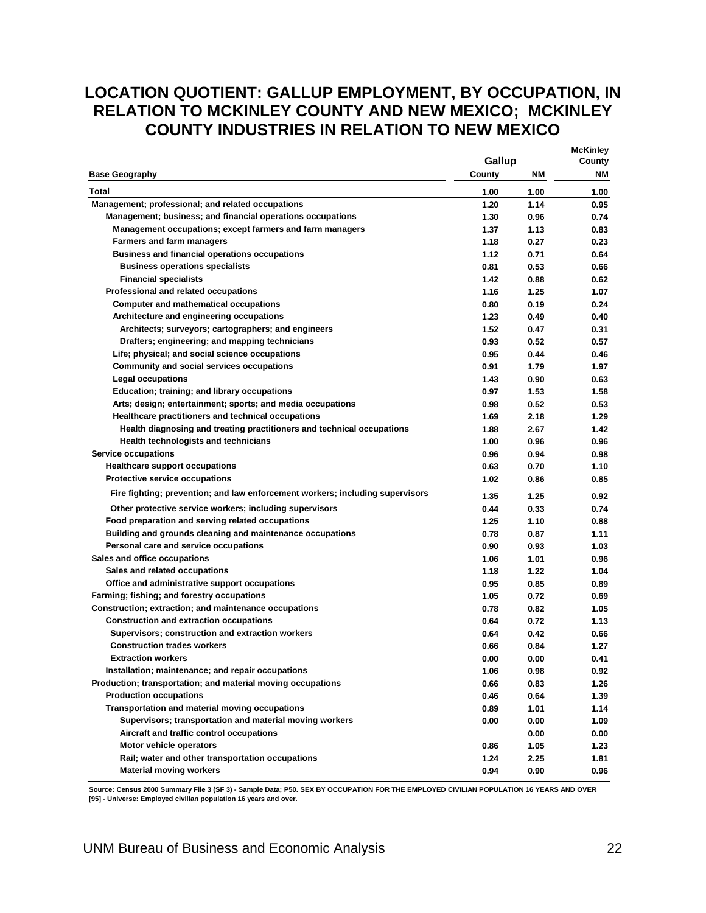## <span id="page-24-0"></span>**LOCATION QUOTIENT: GALLUP EMPLOYMENT, BY OCCUPATION, IN RELATION TO MCKINLEY COUNTY AND NEW MEXICO; MCKINLEY COUNTY INDUSTRIES IN RELATION TO NEW MEXICO**

|                                                                               |        |      | <b>McKinley</b> |
|-------------------------------------------------------------------------------|--------|------|-----------------|
|                                                                               | Gallup |      | County          |
| <b>Base Geography</b>                                                         | County | ΝM   | ΝM              |
| Total                                                                         | 1.00   | 1.00 | 1.00            |
| Management; professional; and related occupations                             | 1.20   | 1.14 | 0.95            |
| Management; business; and financial operations occupations                    | 1.30   | 0.96 | 0.74            |
| Management occupations; except farmers and farm managers                      | 1.37   | 1.13 | 0.83            |
| <b>Farmers and farm managers</b>                                              | 1.18   | 0.27 | 0.23            |
| <b>Business and financial operations occupations</b>                          | 1.12   | 0.71 | 0.64            |
| <b>Business operations specialists</b>                                        | 0.81   | 0.53 | 0.66            |
| <b>Financial specialists</b>                                                  | 1.42   | 0.88 | 0.62            |
| Professional and related occupations                                          | 1.16   | 1.25 | 1.07            |
| <b>Computer and mathematical occupations</b>                                  | 0.80   | 0.19 | 0.24            |
| Architecture and engineering occupations                                      | 1.23   | 0.49 | 0.40            |
| Architects; surveyors; cartographers; and engineers                           | 1.52   | 0.47 | 0.31            |
| Drafters; engineering; and mapping technicians                                | 0.93   | 0.52 | 0.57            |
| Life; physical; and social science occupations                                | 0.95   | 0.44 | 0.46            |
| <b>Community and social services occupations</b>                              | 0.91   | 1.79 | 1.97            |
| <b>Legal occupations</b>                                                      | 1.43   | 0.90 | 0.63            |
| Education; training; and library occupations                                  | 0.97   | 1.53 | 1.58            |
| Arts; design; entertainment; sports; and media occupations                    | 0.98   | 0.52 | 0.53            |
| Healthcare practitioners and technical occupations                            | 1.69   | 2.18 | 1.29            |
| Health diagnosing and treating practitioners and technical occupations        | 1.88   | 2.67 | 1.42            |
| <b>Health technologists and technicians</b>                                   | 1.00   | 0.96 | 0.96            |
| <b>Service occupations</b>                                                    | 0.96   | 0.94 | 0.98            |
| <b>Healthcare support occupations</b>                                         | 0.63   | 0.70 | 1.10            |
| Protective service occupations                                                | 1.02   | 0.86 | 0.85            |
| Fire fighting; prevention; and law enforcement workers; including supervisors | 1.35   | 1.25 | 0.92            |
| Other protective service workers; including supervisors                       | 0.44   | 0.33 | 0.74            |
| Food preparation and serving related occupations                              | 1.25   | 1.10 | 0.88            |
| Building and grounds cleaning and maintenance occupations                     | 0.78   | 0.87 | 1.11            |
| Personal care and service occupations                                         | 0.90   | 0.93 | 1.03            |
| Sales and office occupations                                                  | 1.06   | 1.01 | 0.96            |
| Sales and related occupations                                                 | 1.18   | 1.22 | 1.04            |
| Office and administrative support occupations                                 | 0.95   | 0.85 | 0.89            |
| Farming; fishing; and forestry occupations                                    | 1.05   | 0.72 | 0.69            |
| Construction; extraction; and maintenance occupations                         | 0.78   | 0.82 | 1.05            |
| <b>Construction and extraction occupations</b>                                | 0.64   | 0.72 | 1.13            |
| Supervisors; construction and extraction workers                              | 0.64   | 0.42 | 0.66            |
| <b>Construction trades workers</b>                                            | 0.66   | 0.84 | 1.27            |
| <b>Extraction workers</b>                                                     | 0.00   | 0.00 | 0.41            |
| Installation; maintenance; and repair occupations                             | 1.06   | 0.98 | 0.92            |
| Production; transportation; and material moving occupations                   | 0.66   | 0.83 | 1.26            |
| <b>Production occupations</b>                                                 | 0.46   | 0.64 | 1.39            |
| Transportation and material moving occupations                                | 0.89   | 1.01 | 1.14            |
| Supervisors; transportation and material moving workers                       | 0.00   | 0.00 | 1.09            |
| Aircraft and traffic control occupations                                      |        | 0.00 | 0.00            |
| Motor vehicle operators                                                       | 0.86   | 1.05 | 1.23            |
| Rail; water and other transportation occupations                              | 1.24   | 2.25 | 1.81            |
| <b>Material moving workers</b>                                                | 0.94   | 0.90 | 0.96            |

**Source: Census 2000 Summary File 3 (SF 3) - Sample Data; P50. SEX BY OCCUPATION FOR THE EMPLOYED CIVILIAN POPULATION 16 YEARS AND OVER [95] - Universe: Employed civilian population 16 years and over.**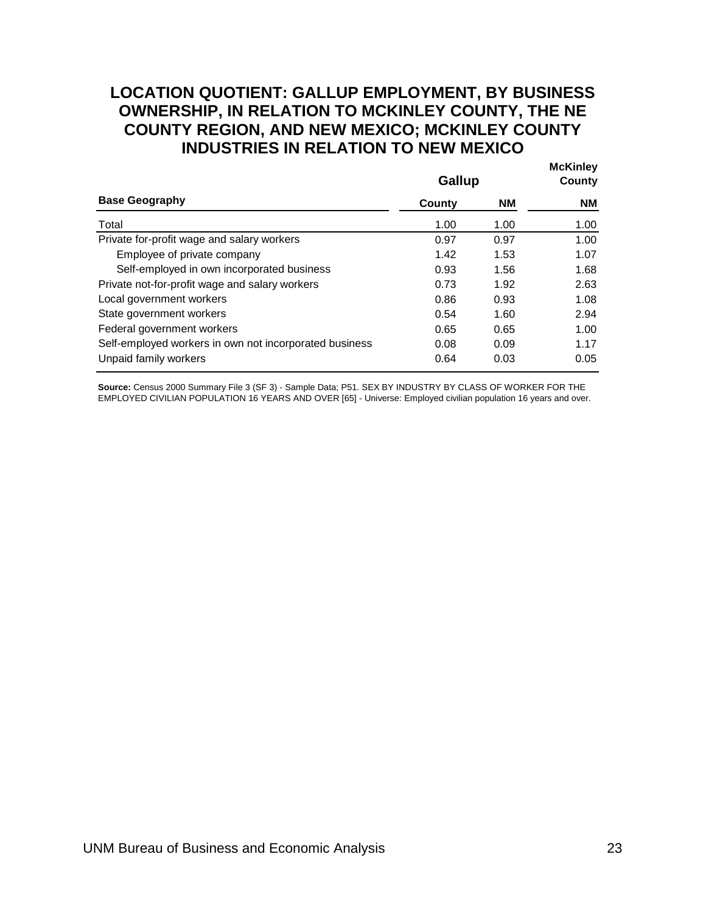### <span id="page-25-0"></span>**LOCATION QUOTIENT: GALLUP EMPLOYMENT, BY BUSINESS OWNERSHIP, IN RELATION TO MCKINLEY COUNTY, THE NE COUNTY REGION, AND NEW MEXICO; MCKINLEY COUNTY INDUSTRIES IN RELATION TO NEW MEXICO**

|                                                        | Gallup |           | <b>McKinley</b><br>County |
|--------------------------------------------------------|--------|-----------|---------------------------|
| <b>Base Geography</b>                                  | County | <b>NM</b> | NM.                       |
| Total                                                  | 1.00   | 1.00      | 1.00                      |
| Private for-profit wage and salary workers             | 0.97   | 0.97      | 1.00                      |
| Employee of private company                            | 1.42   | 1.53      | 1.07                      |
| Self-employed in own incorporated business             | 0.93   | 1.56      | 1.68                      |
| Private not-for-profit wage and salary workers         | 0.73   | 1.92      | 2.63                      |
| Local government workers                               | 0.86   | 0.93      | 1.08                      |
| State government workers                               | 0.54   | 1.60      | 2.94                      |
| Federal government workers                             | 0.65   | 0.65      | 1.00                      |
| Self-employed workers in own not incorporated business | 0.08   | 0.09      | 1.17                      |
| Unpaid family workers                                  | 0.64   | 0.03      | 0.05                      |

Source: Census 2000 Summary File 3 (SF 3) - Sample Data; P51. SEX BY INDUSTRY BY CLASS OF WORKER FOR THE EMPLOYED CIVILIAN POPULATION 16 YEARS AND OVER [65] - Universe: Employed civilian population 16 years and over.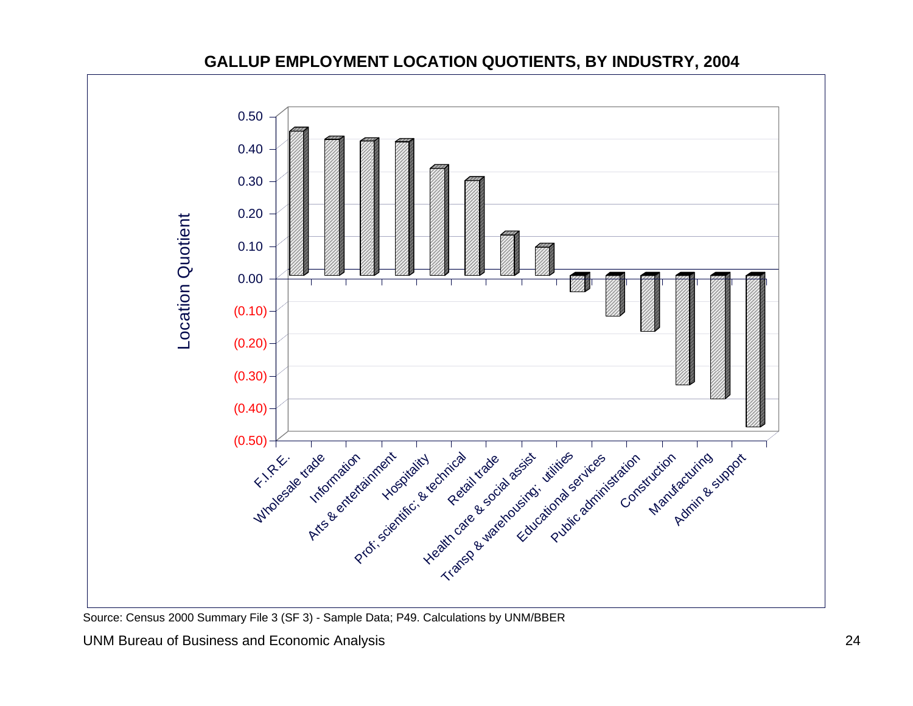

#### **GALLUP EMPLOYMENT LOCATION QUOTIENTS, BY INDUSTRY, 2004**

<span id="page-26-0"></span>UNM Bureau of Business and Economic Analysis 24

Source: Census 2000 Summary File 3 (SF 3) - Sample Data; P49. Calculations by UNM/BBER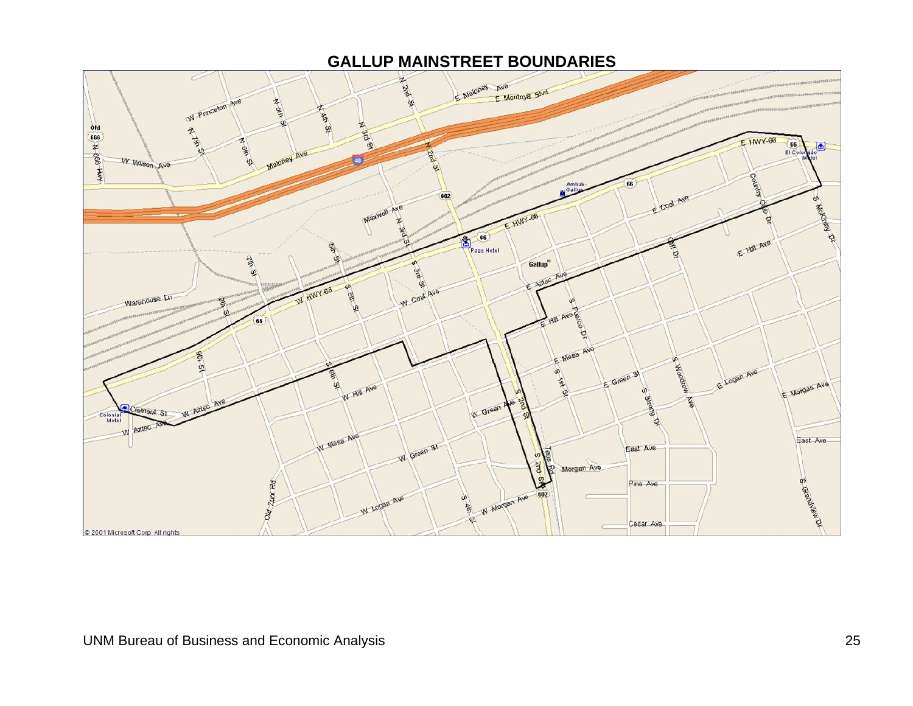#### **GALLUP MAINSTREET BOUNDARIES**

<span id="page-27-0"></span>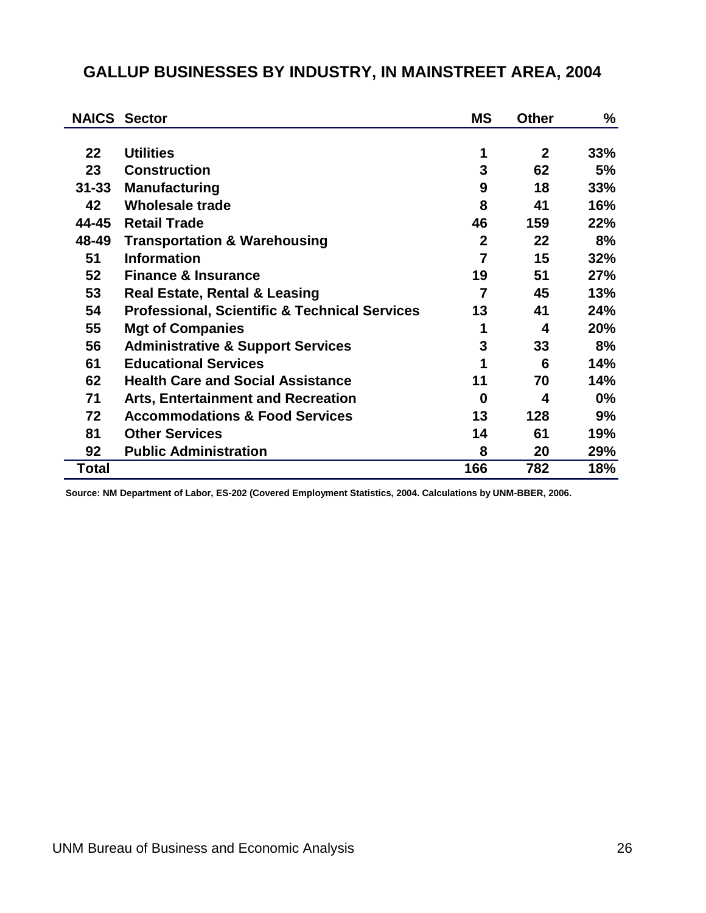|           | <b>NAICS Sector</b>                                      | <b>MS</b>      | <b>Other</b> | ℅     |
|-----------|----------------------------------------------------------|----------------|--------------|-------|
|           |                                                          |                |              |       |
| 22        | <b>Utilities</b>                                         | 1              | $\mathbf{2}$ | 33%   |
| 23        | <b>Construction</b>                                      | 3              | 62           | 5%    |
| $31 - 33$ | <b>Manufacturing</b>                                     | 9              | 18           | 33%   |
| 42        | <b>Wholesale trade</b>                                   | 8              | 41           | 16%   |
| 44-45     | <b>Retail Trade</b>                                      | 46             | 159          | 22%   |
| 48-49     | <b>Transportation &amp; Warehousing</b>                  | $\overline{2}$ | 22           | 8%    |
| 51        | <b>Information</b>                                       | $\overline{7}$ | 15           | 32%   |
| 52        | <b>Finance &amp; Insurance</b>                           | 19             | 51           | 27%   |
| 53        | <b>Real Estate, Rental &amp; Leasing</b>                 | $\overline{7}$ | 45           | 13%   |
| 54        | <b>Professional, Scientific &amp; Technical Services</b> | 13             | 41           | 24%   |
| 55        | <b>Mgt of Companies</b>                                  | 1              | 4            | 20%   |
| 56        | <b>Administrative &amp; Support Services</b>             | 3              | 33           | 8%    |
| 61        | <b>Educational Services</b>                              | 1              | 6            | 14%   |
| 62        | <b>Health Care and Social Assistance</b>                 | 11             | 70           | 14%   |
| 71        | <b>Arts, Entertainment and Recreation</b>                | 0              | 4            | $0\%$ |
| 72        | <b>Accommodations &amp; Food Services</b>                | 13             | 128          | 9%    |
| 81        | <b>Other Services</b>                                    | 14             | 61           | 19%   |
| 92        | <b>Public Administration</b>                             | 8              | 20           | 29%   |
| Total     |                                                          | 166            | 782          | 18%   |

## <span id="page-28-0"></span>**GALLUP BUSINESSES BY INDUSTRY, IN MAINSTREET AREA, 2004**

**Source: NM Department of Labor, ES-202 (Covered Employment Statistics, 2004. Calculations by UNM-BBER, 2006.**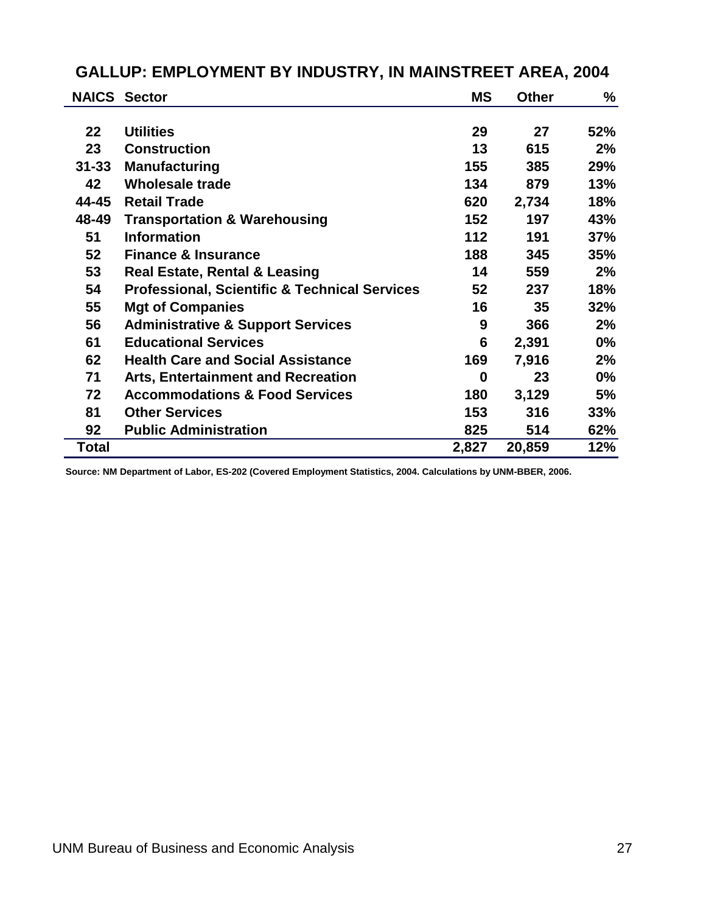|           | <b>NAICS Sector</b>                                      | <b>MS</b> | <b>Other</b> | %          |
|-----------|----------------------------------------------------------|-----------|--------------|------------|
|           |                                                          |           |              |            |
| 22        | <b>Utilities</b>                                         | 29        | 27           | 52%        |
| 23        | <b>Construction</b>                                      | 13        | 615          | 2%         |
| $31 - 33$ | <b>Manufacturing</b>                                     | 155       | 385          | 29%        |
| 42        | <b>Wholesale trade</b>                                   | 134       | 879          | 13%        |
| 44-45     | <b>Retail Trade</b>                                      | 620       | 2,734        | 18%        |
| 48-49     | <b>Transportation &amp; Warehousing</b>                  | 152       | 197          | 43%        |
| 51        | <b>Information</b>                                       | 112       | 191          | 37%        |
| 52        | <b>Finance &amp; Insurance</b>                           | 188       | 345          | <b>35%</b> |
| 53        | <b>Real Estate, Rental &amp; Leasing</b>                 | 14        | 559          | 2%         |
| 54        | <b>Professional, Scientific &amp; Technical Services</b> | 52        | 237          | 18%        |
| 55        | <b>Mgt of Companies</b>                                  | 16        | 35           | 32%        |
| 56        | <b>Administrative &amp; Support Services</b>             | 9         | 366          | 2%         |
| 61        | <b>Educational Services</b>                              | 6         | 2,391        | $0\%$      |
| 62        | <b>Health Care and Social Assistance</b>                 | 169       | 7,916        | 2%         |
| 71        | <b>Arts, Entertainment and Recreation</b>                | 0         | 23           | $0\%$      |
| 72        | <b>Accommodations &amp; Food Services</b>                | 180       | 3,129        | 5%         |
| 81        | <b>Other Services</b>                                    | 153       | 316          | 33%        |
| 92        | <b>Public Administration</b>                             | 825       | 514          | 62%        |
| Total     |                                                          | 2,827     | 20,859       | 12%        |

## <span id="page-29-0"></span>**GALLUP: EMPLOYMENT BY INDUSTRY, IN MAINSTREET AREA, 2004**

**Source: NM Department of Labor, ES-202 (Covered Employment Statistics, 2004. Calculations by UNM-BBER, 2006.**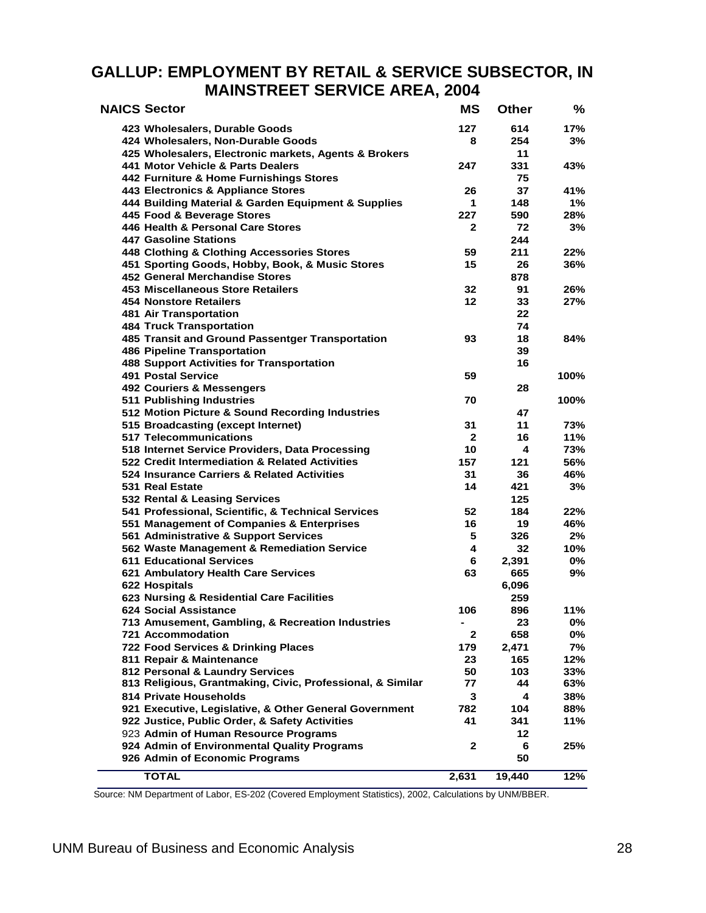#### <span id="page-30-0"></span>**GALLUP: EMPLOYMENT BY RETAIL & SERVICE SUBSECTOR, IN MAINSTREET SERVICE AREA, 2004**

| <b>NAICS Sector</b> |                                                            | <b>MS</b>    | <b>Other</b> | %    |
|---------------------|------------------------------------------------------------|--------------|--------------|------|
|                     | 423 Wholesalers, Durable Goods                             | 127          | 614          | 17%  |
|                     | 424 Wholesalers, Non-Durable Goods                         | 8            | 254          | 3%   |
|                     | 425 Wholesalers, Electronic markets, Agents & Brokers      |              | 11           |      |
|                     | 441 Motor Vehicle & Parts Dealers                          | 247          | 331          | 43%  |
|                     | 442 Furniture & Home Furnishings Stores                    |              | 75           |      |
|                     | 443 Electronics & Appliance Stores                         | 26           | 37           | 41%  |
|                     | 444 Building Material & Garden Equipment & Supplies        | 1            | 148          | 1%   |
|                     | 445 Food & Beverage Stores                                 | 227          | 590          | 28%  |
|                     | 446 Health & Personal Care Stores                          | $\mathbf{2}$ | 72           | 3%   |
|                     | <b>447 Gasoline Stations</b>                               |              | 244          |      |
|                     | 448 Clothing & Clothing Accessories Stores                 | 59           | 211          | 22%  |
|                     | 451 Sporting Goods, Hobby, Book, & Music Stores            | 15           | 26           | 36%  |
|                     | <b>452 General Merchandise Stores</b>                      |              | 878          |      |
|                     | 453 Miscellaneous Store Retailers                          | 32           | 91           | 26%  |
|                     | <b>454 Nonstore Retailers</b>                              | 12           | 33           | 27%  |
|                     | 481 Air Transportation                                     |              | 22           |      |
|                     | <b>484 Truck Transportation</b>                            |              | 74           |      |
|                     | 485 Transit and Ground Passentger Transportation           | 93           | 18           | 84%  |
|                     | <b>486 Pipeline Transportation</b>                         |              | 39           |      |
|                     | <b>488 Support Activities for Transportation</b>           |              | 16           |      |
|                     | <b>491 Postal Service</b>                                  | 59           |              | 100% |
|                     | 492 Couriers & Messengers                                  |              | 28           |      |
|                     | 511 Publishing Industries                                  | 70           |              | 100% |
|                     | 512 Motion Picture & Sound Recording Industries            |              | 47           |      |
|                     | 515 Broadcasting (except Internet)                         | 31           | 11           | 73%  |
|                     | 517 Telecommunications                                     | $\mathbf{2}$ | 16           | 11%  |
|                     | 518 Internet Service Providers, Data Processing            | 10           | 4            | 73%  |
|                     | 522 Credit Intermediation & Related Activities             | 157          | 121          | 56%  |
|                     | 524 Insurance Carriers & Related Activities                | 31           | 36           | 46%  |
|                     | 531 Real Estate                                            | 14           | 421          | 3%   |
|                     | 532 Rental & Leasing Services                              |              | 125          |      |
|                     | 541 Professional, Scientific, & Technical Services         | 52           | 184          | 22%  |
|                     | 551 Management of Companies & Enterprises                  | 16           | 19           | 46%  |
|                     | 561 Administrative & Support Services                      | 5            | 326          | 2%   |
|                     | 562 Waste Management & Remediation Service                 | 4            | 32           | 10%  |
|                     | <b>611 Educational Services</b>                            | 6            | 2,391        | 0%   |
|                     | 621 Ambulatory Health Care Services                        | 63           | 665          | 9%   |
|                     | 622 Hospitals                                              |              | 6,096        |      |
|                     | 623 Nursing & Residential Care Facilities                  |              | 259          |      |
|                     | 624 Social Assistance                                      | 106          | 896          | 11%  |
|                     | 713 Amusement, Gambling, & Recreation Industries           | ٠            | 23           | 0%   |
|                     | <b>721 Accommodation</b>                                   | $\mathbf{2}$ | 658          | 0%   |
|                     | 722 Food Services & Drinking Places                        | 179          | 2,471        | 7%   |
|                     | 811 Repair & Maintenance                                   | 23           | 165          | 12%  |
|                     | 812 Personal & Laundry Services                            | 50           | 103          | 33%  |
|                     | 813 Religious, Grantmaking, Civic, Professional, & Similar | 77           | 44           | 63%  |
|                     | 814 Private Households                                     | 3            | 4            | 38%  |
|                     | 921 Executive, Legislative, & Other General Government     | 782          | 104          | 88%  |
|                     | 922 Justice, Public Order, & Safety Activities             | 41           | 341          | 11%  |
|                     | 923 Admin of Human Resource Programs                       |              | 12           |      |
|                     | 924 Admin of Environmental Quality Programs                | 2            | 6            | 25%  |
|                     | 926 Admin of Economic Programs                             |              | 50           |      |
|                     | <b>TOTAL</b>                                               | 2,631        | 19,440       | 12%  |

Source: NM Department of Labor, ES-202 (Covered Employment Statistics), 2002, Calculations by UNM/BBER.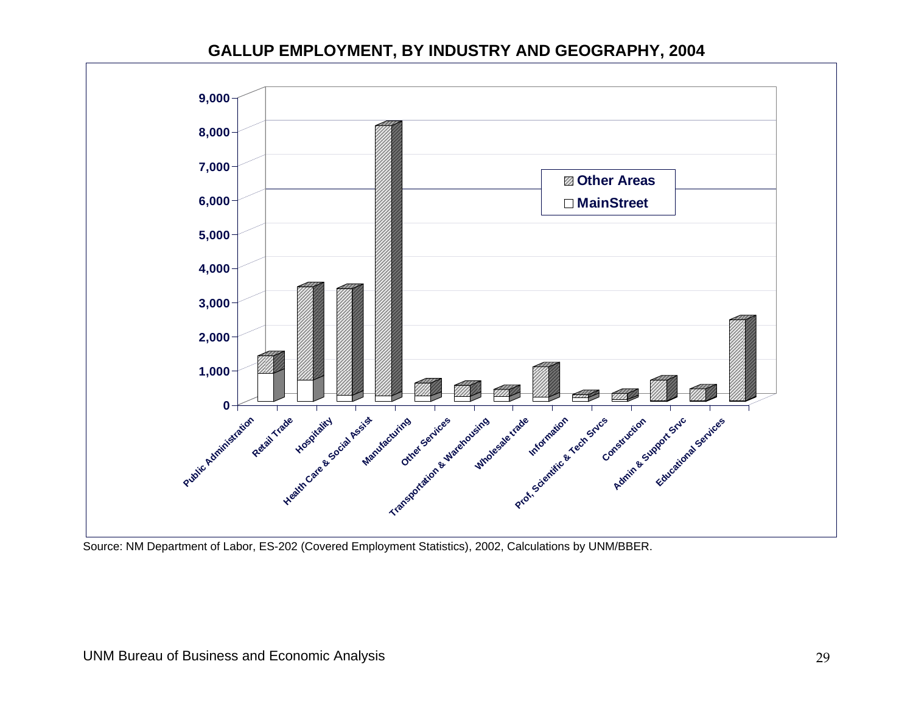#### **GALLUP EMPLOYMENT, BY INDUSTRY AND GEOGRAPHY, 2004**



<span id="page-31-0"></span>Source: NM Department of Labor, ES-202 (Covered Employment Statistics), 2002, Calculations by UNM/BBER.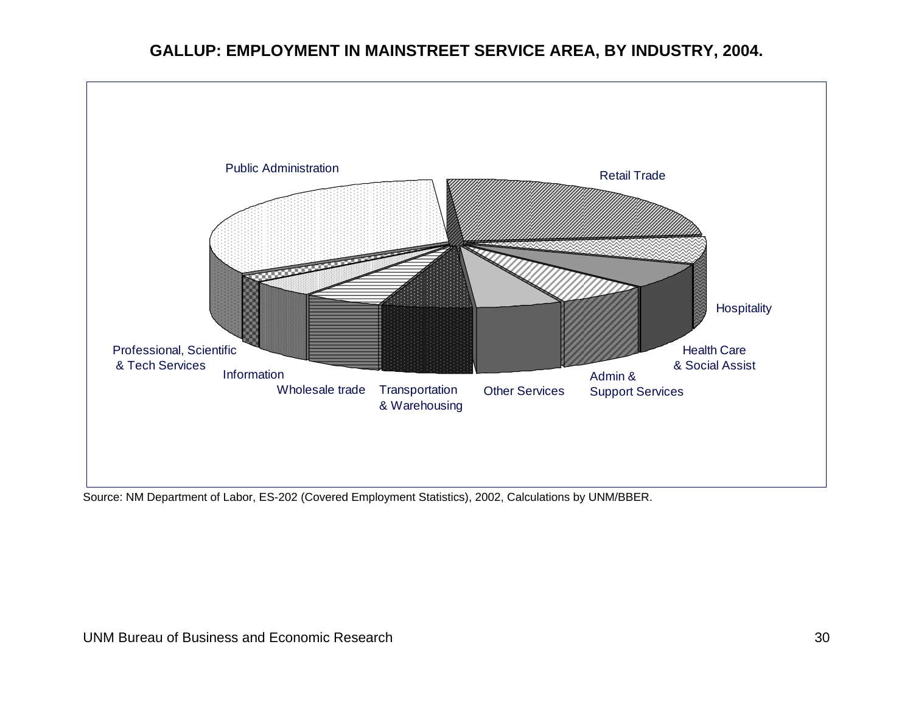## **GALLUP: EMPLOYMENT IN MAINSTREET SERVICE AREA, BY INDUSTRY, 2004.**



<span id="page-32-0"></span>Source: NM Department of Labor, ES-202 (Covered Employment Statistics), 2002, Calculations by UNM/BBER.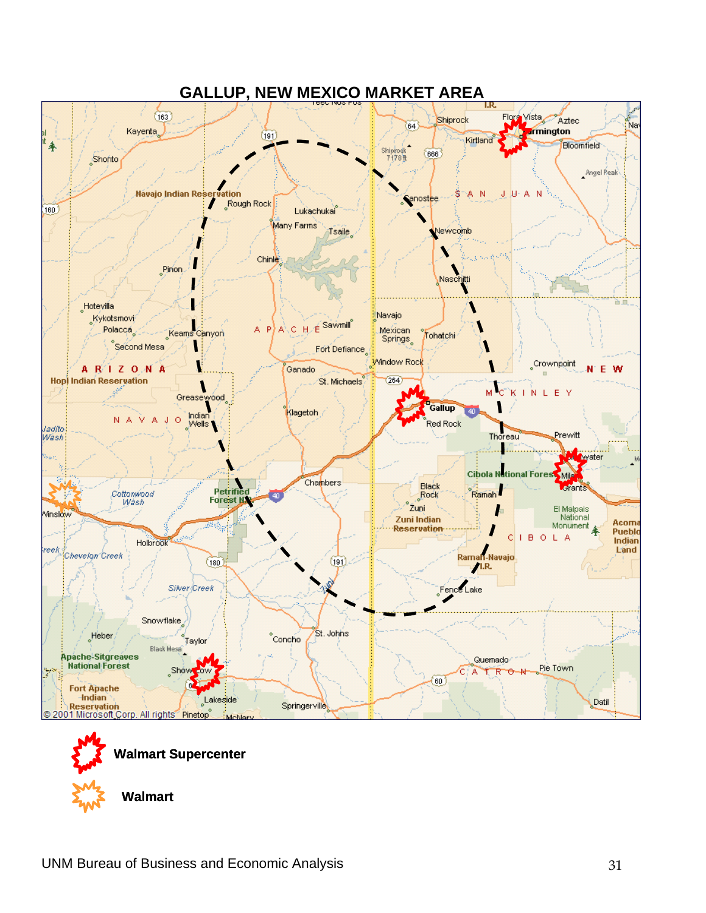<span id="page-33-0"></span>

## **GALLUP, NEW MEXICO MARKET AREA**



**Walmart**